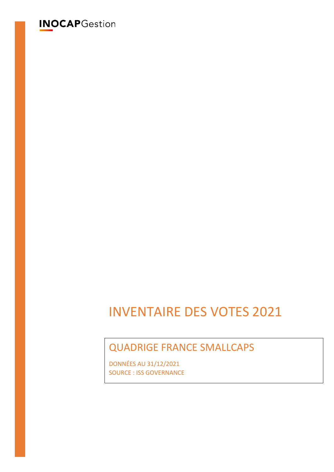# **INOCAPGestion**

# INVENTAIRE DES VOTES 2021

# QUADRIGE FRANCE SMALLCAPS

DONNÉES AU 31/12/2021 SOURCE : ISS GOVERNANCE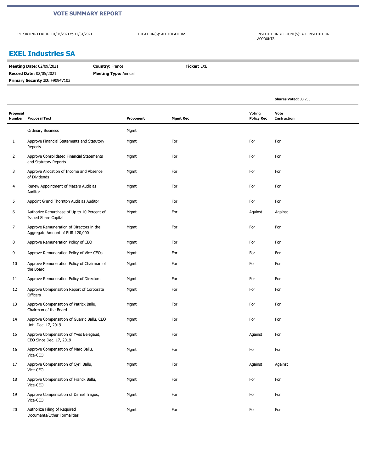#### **VOTE SUMMARY REPORT**

REPORTING PERIOD: 01/04/2021 to 12/31/2021

LOCATION(S): ALL LOCATIONS INSTITUTION ACCOUNT(S): ALL INSTITUTION ACCOUNTS

#### **EXEL Industries SA**

| <b>Record Date: 02/05/2021</b><br><b>Meeting Type: Annual</b> | <b>Meeting Date: 02/09/2021</b><br><b>Country: France</b> |
|---------------------------------------------------------------|-----------------------------------------------------------|
|                                                               |                                                           |
|                                                               | Primary Security ID: F9094V103                            |

|                    |                                                                             |           |                 |                                    | Shares Voted: 33,230       |
|--------------------|-----------------------------------------------------------------------------|-----------|-----------------|------------------------------------|----------------------------|
| Proposal<br>Number | <b>Proposal Text</b>                                                        | Proponent | <b>Mgmt Rec</b> | <b>Voting</b><br><b>Policy Rec</b> | Vote<br><b>Instruction</b> |
|                    | <b>Ordinary Business</b>                                                    | Mgmt      |                 |                                    |                            |
| 1                  | Approve Financial Statements and Statutory<br>Reports                       | Mgmt      | For             | For                                | For                        |
| $\overline{2}$     | Approve Consolidated Financial Statements<br>and Statutory Reports          | Mgmt      | For             | For                                | For                        |
| 3                  | Approve Allocation of Income and Absence<br>of Dividends                    | Mgmt      | For             | For                                | For                        |
| 4                  | Renew Appointment of Mazars Audit as<br>Auditor                             | Mgmt      | For             | For                                | For                        |
| 5                  | Appoint Grand Thornton Audit as Auditor                                     | Mgmt      | For             | For                                | For                        |
| 6                  | Authorize Repurchase of Up to 10 Percent of<br><b>Issued Share Capital</b>  | Mgmt      | For             | Against                            | Against                    |
| 7                  | Approve Remuneration of Directors in the<br>Aggregate Amount of EUR 120,000 | Mgmt      | For             | For                                | For                        |
| 8                  | Approve Remuneration Policy of CEO                                          | Mgmt      | For             | For                                | For                        |
| 9                  | Approve Remuneration Policy of Vice-CEOs                                    | Mgmt      | For             | For                                | For                        |
| 10                 | Approve Remuneration Policy of Chairman of<br>the Board                     | Mgmt      | For             | For                                | For                        |
| 11                 | Approve Remuneration Policy of Directors                                    | Mgmt      | For             | For                                | For                        |
| 12                 | Approve Compensation Report of Corporate<br>Officers                        | Mgmt      | For             | For                                | For                        |
| 13                 | Approve Compensation of Patrick Ballu,<br>Chairman of the Board             | Mgmt      | For             | For                                | For                        |
| 14                 | Approve Compensation of Guerric Ballu, CEO<br>Until Dec. 17, 2019           | Mgmt      | For             | For                                | For                        |
| 15                 | Approve Compensation of Yves Belegaud,<br>CEO Since Dec. 17, 2019           | Mgmt      | For             | Against                            | For                        |
| 16                 | Approve Compensation of Marc Ballu,<br>Vice-CEO                             | Mgmt      | For             | For                                | For                        |
| 17                 | Approve Compensation of Cyril Ballu,<br>Vice-CEO                            | Mgmt      | For             | Against                            | Against                    |
| 18                 | Approve Compensation of Franck Ballu,<br>Vice-CEO                           | Mgmt      | For             | For                                | For                        |
| 19                 | Approve Compensation of Daniel Tragus,<br>Vice-CEO                          | Mgmt      | For             | For                                | For                        |
| 20                 | Authorize Filing of Required<br>Documents/Other Formalities                 | Mgmt      | For             | For                                | For                        |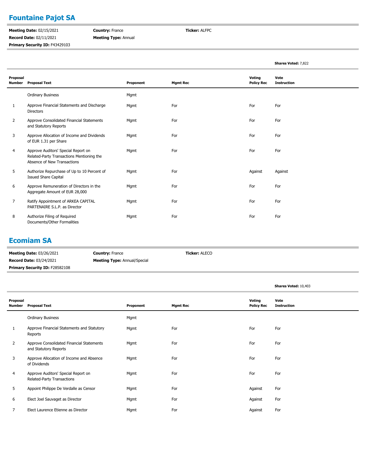# **Fountaine Pajot SA**

**Meeting Date:** 02/15/2021 **Record Date:** 02/11/2021 **Primary Security ID: F43429103**  **Country:** France **Meeting Type:** Annual **Ticker:** ALFPC

|                    |                                                                                                                 |           |                 |                             | Shares Voted: 7,822        |
|--------------------|-----------------------------------------------------------------------------------------------------------------|-----------|-----------------|-----------------------------|----------------------------|
| Proposal<br>Number | <b>Proposal Text</b>                                                                                            | Proponent | <b>Mgmt Rec</b> | Voting<br><b>Policy Rec</b> | Vote<br><b>Instruction</b> |
|                    | <b>Ordinary Business</b>                                                                                        | Mgmt      |                 |                             |                            |
| 1                  | Approve Financial Statements and Discharge<br><b>Directors</b>                                                  | Mgmt      | For             | For                         | For                        |
| 2                  | Approve Consolidated Financial Statements<br>and Statutory Reports                                              | Mgmt      | For             | For                         | For                        |
| 3                  | Approve Allocation of Income and Dividends<br>of EUR 1.31 per Share                                             | Mgmt      | For             | For                         | For                        |
| 4                  | Approve Auditors' Special Report on<br>Related-Party Transactions Mentioning the<br>Absence of New Transactions | Mgmt      | For             | For                         | For                        |
| 5                  | Authorize Repurchase of Up to 10 Percent of<br><b>Issued Share Capital</b>                                      | Mgmt      | For             | Against                     | Against                    |
| 6                  | Approve Remuneration of Directors in the<br>Aggregate Amount of EUR 28,000                                      | Mgmt      | For             | For                         | For                        |
| 7                  | Ratify Appointment of ARKEA CAPITAL<br>PARTENAIRE S.L.P. as Director                                            | Mgmt      | For             | For                         | For                        |
| 8                  | Authorize Filing of Required<br>Documents/Other Formalities                                                     | Mgmt      | For             | For                         | For                        |

#### **Ecomiam SA**

| <b>Meeting Date: 03/26/2021</b>       | <b>Country: France</b>              | <b>Ticker: ALECO</b> |
|---------------------------------------|-------------------------------------|----------------------|
| <b>Record Date: 03/24/2021</b>        | <b>Meeting Type:</b> Annual/Special |                      |
| <b>Primary Security ID: F28582108</b> |                                     |                      |

|                    |                                                                    |           |                 |                             | Shares Voted: 10,403       |
|--------------------|--------------------------------------------------------------------|-----------|-----------------|-----------------------------|----------------------------|
| Proposal<br>Number | <b>Proposal Text</b>                                               | Proponent | <b>Mgmt Rec</b> | Voting<br><b>Policy Rec</b> | Vote<br><b>Instruction</b> |
|                    | <b>Ordinary Business</b>                                           | Mgmt      |                 |                             |                            |
| 1                  | Approve Financial Statements and Statutory<br>Reports              | Mgmt      | For             | For                         | For                        |
| 2                  | Approve Consolidated Financial Statements<br>and Statutory Reports | Mgmt      | For             | For                         | For                        |
| 3                  | Approve Allocation of Income and Absence<br>of Dividends           | Mgmt      | For             | For                         | For                        |
| 4                  | Approve Auditors' Special Report on<br>Related-Party Transactions  | Mgmt      | For             | For                         | For                        |
| 5                  | Appoint Philippe De Verdalle as Censor                             | Mgmt      | For             | Against                     | For                        |
| 6                  | Elect Joel Sauvaget as Director                                    | Mgmt      | For             | Against                     | For                        |
| 7                  | Elect Laurence Etienne as Director                                 | Mgmt      | For             | Against                     | For                        |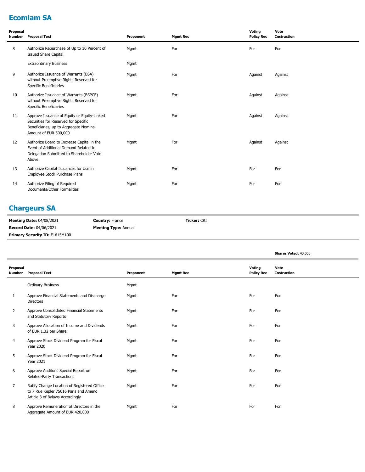# **Ecomiam SA**

| Proposal<br><b>Number</b> | <b>Proposal Text</b>                                                                                                                                   | Proponent | <b>Mgmt Rec</b> | Voting<br><b>Policy Rec</b> | Vote<br><b>Instruction</b> |
|---------------------------|--------------------------------------------------------------------------------------------------------------------------------------------------------|-----------|-----------------|-----------------------------|----------------------------|
| 8                         | Authorize Repurchase of Up to 10 Percent of<br><b>Issued Share Capital</b>                                                                             | Mgmt      | For             | For                         | For                        |
|                           | <b>Extraordinary Business</b>                                                                                                                          | Mgmt      |                 |                             |                            |
| 9                         | Authorize Issuance of Warrants (BSA)<br>without Preemptive Rights Reserved for<br>Specific Beneficiaries                                               | Mgmt      | For             | Against                     | Against                    |
| 10                        | Authorize Issuance of Warrants (BSPCE)<br>without Preemptive Rights Reserved for<br>Specific Beneficiaries                                             | Mgmt      | For             | Against                     | Against                    |
| 11                        | Approve Issuance of Equity or Equity-Linked<br>Securities for Reserved for Specific<br>Beneficiaries, up to Aggregate Nominal<br>Amount of EUR 500,000 | Mgmt      | For             | Against                     | Against                    |
| 12                        | Authorize Board to Increase Capital in the<br>Event of Additional Demand Related to<br>Delegation Submitted to Shareholder Vote<br>Above               | Mgmt      | For             | Against                     | Against                    |
| 13                        | Authorize Capital Issuances for Use in<br>Employee Stock Purchase Plans                                                                                | Mgmt      | For             | For                         | For                        |
| 14                        | Authorize Filing of Required<br>Documents/Other Formalities                                                                                            | Mgmt      | For             | For                         | For                        |

# **Chargeurs SA**

| <b>Meeting Date: 04/08/2021</b>       | <b>Country:</b> France      | <b>Ticker:</b> CRI |
|---------------------------------------|-----------------------------|--------------------|
| <b>Record Date: 04/06/2021</b>        | <b>Meeting Type: Annual</b> |                    |
| <b>Primary Security ID: F1615M100</b> |                             |                    |

|                    |                                                                                                                         |           |                 |                             | Shares Voted: 40,000       |
|--------------------|-------------------------------------------------------------------------------------------------------------------------|-----------|-----------------|-----------------------------|----------------------------|
| Proposal<br>Number | <b>Proposal Text</b>                                                                                                    | Proponent | <b>Mgmt Rec</b> | Voting<br><b>Policy Rec</b> | Vote<br><b>Instruction</b> |
|                    | <b>Ordinary Business</b>                                                                                                | Mgmt      |                 |                             |                            |
| 1                  | Approve Financial Statements and Discharge<br><b>Directors</b>                                                          | Mgmt      | For             | For                         | For                        |
| $\overline{2}$     | Approve Consolidated Financial Statements<br>and Statutory Reports                                                      | Mgmt      | For             | For                         | For                        |
| 3                  | Approve Allocation of Income and Dividends<br>of EUR 1.32 per Share                                                     | Mgmt      | For             | For                         | For                        |
| 4                  | Approve Stock Dividend Program for Fiscal<br><b>Year 2020</b>                                                           | Mgmt      | For             | For                         | For                        |
| 5                  | Approve Stock Dividend Program for Fiscal<br><b>Year 2021</b>                                                           | Mgmt      | For             | For                         | For                        |
| 6                  | Approve Auditors' Special Report on<br>Related-Party Transactions                                                       | Mgmt      | For             | For                         | For                        |
| $\overline{7}$     | Ratify Change Location of Registered Office<br>to 7 Rue Kepler 75016 Paris and Amend<br>Article 3 of Bylaws Accordingly | Mgmt      | For             | For                         | For                        |
| 8                  | Approve Remuneration of Directors in the<br>Aggregate Amount of EUR 420,000                                             | Mgmt      | For             | For                         | For                        |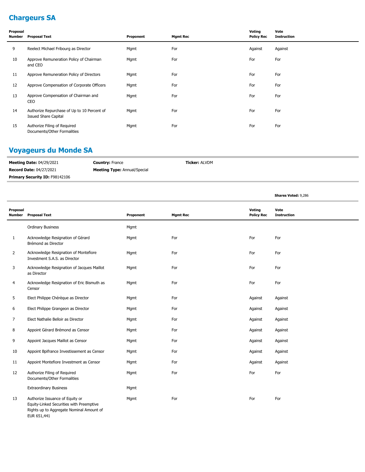# **Chargeurs SA**

| Proposal<br>Number | <b>Proposal Text</b>                                                       | Proponent | <b>Mgmt Rec</b> | Voting<br><b>Policy Rec</b> | Vote<br><b>Instruction</b> |
|--------------------|----------------------------------------------------------------------------|-----------|-----------------|-----------------------------|----------------------------|
| 9                  | Reelect Michael Fribourg as Director                                       | Mgmt      | For             | Against                     | Against                    |
| 10                 | Approve Remuneration Policy of Chairman<br>and CEO                         | Mgmt      | For             | For                         | For                        |
| 11                 | Approve Remuneration Policy of Directors                                   | Mgmt      | For             | For                         | For                        |
| 12                 | Approve Compensation of Corporate Officers                                 | Mgmt      | For             | For                         | For                        |
| 13                 | Approve Compensation of Chairman and<br>CEO                                | Mgmt      | For             | For                         | For                        |
| 14                 | Authorize Repurchase of Up to 10 Percent of<br><b>Issued Share Capital</b> | Mgmt      | For             | For                         | For                        |
| 15                 | Authorize Filing of Required<br>Documents/Other Formalities                | Mgmt      | For             | For                         | For                        |

# **Voyageurs du Monde SA**

| <b>Meeting Date: 04/29/2021</b>       | <b>Country: France</b>              | <b>Ticker: ALVDM</b> |
|---------------------------------------|-------------------------------------|----------------------|
| <b>Record Date: 04/27/2021</b>        | <b>Meeting Type: Annual/Special</b> |                      |
| <b>Primary Security ID: F98142106</b> |                                     |                      |

**Shares Voted:** 9,286

| Proposal<br><b>Number</b> | <b>Proposal Text</b>                                                                                                                   | Proponent | <b>Mgmt Rec</b> | Voting<br><b>Policy Rec</b> | Vote<br><b>Instruction</b> |
|---------------------------|----------------------------------------------------------------------------------------------------------------------------------------|-----------|-----------------|-----------------------------|----------------------------|
|                           | <b>Ordinary Business</b>                                                                                                               | Mgmt      |                 |                             |                            |
| $\mathbf{1}$              | Acknowledge Resignation of Gérard<br>Brémond as Director                                                                               | Mgmt      | For             | For                         | For                        |
| $\overline{2}$            | Acknowledge Resignation of Montefiore<br>Investment S.A.S. as Director                                                                 | Mgmt      | For             | For                         | For                        |
| 3                         | Acknowledge Resignation of Jacques Maillot<br>as Director                                                                              | Mgmt      | For             | For                         | For                        |
| 4                         | Acknowledge Resignation of Eric Bismuth as<br>Censor                                                                                   | Mgmt      | For             | For                         | For                        |
| 5                         | Elect Philippe Chérèque as Director                                                                                                    | Mgmt      | For             | Against                     | Against                    |
| 6                         | Elect Philippe Grangeon as Director                                                                                                    | Mgmt      | For             | Against                     | Against                    |
| 7                         | Elect Nathalie Belloir as Director                                                                                                     | Mgmt      | For             | Against                     | Against                    |
| 8                         | Appoint Gérard Brémond as Censor                                                                                                       | Mgmt      | For             | Against                     | Against                    |
| 9                         | Appoint Jacques Maillot as Censor                                                                                                      | Mgmt      | For             | Against                     | Against                    |
| 10                        | Appoint Bpifrance Investissement as Censor                                                                                             | Mgmt      | For             | Against                     | Against                    |
| 11                        | Appoint Montefiore Investment as Censor                                                                                                | Mgmt      | For             | Against                     | Against                    |
| 12                        | Authorize Filing of Required<br>Documents/Other Formalities                                                                            | Mgmt      | For             | For                         | For                        |
|                           | <b>Extraordinary Business</b>                                                                                                          | Mgmt      |                 |                             |                            |
| 13                        | Authorize Issuance of Equity or<br>Equity-Linked Securities with Preemptive<br>Rights up to Aggregate Nominal Amount of<br>EUR 651,441 | Mgmt      | For             | For                         | For                        |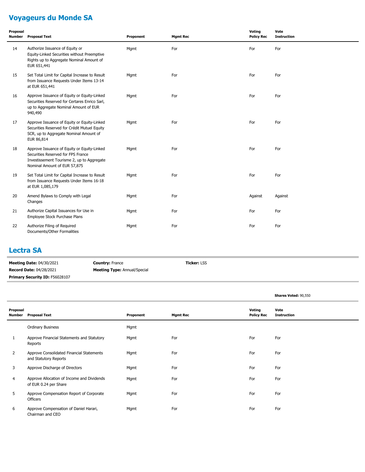# **Voyageurs du Monde SA**

| Proposal<br>Number | <b>Proposal Text</b>                                                                                                                                            | Proponent | <b>Mgmt Rec</b> | Voting<br><b>Policy Rec</b> | Vote<br><b>Instruction</b> |
|--------------------|-----------------------------------------------------------------------------------------------------------------------------------------------------------------|-----------|-----------------|-----------------------------|----------------------------|
| 14                 | Authorize Issuance of Equity or<br>Equity-Linked Securities without Preemptive<br>Rights up to Aggregate Nominal Amount of<br>EUR 651,441                       | Mgmt      | For             | For                         | For                        |
| 15                 | Set Total Limit for Capital Increase to Result<br>from Issuance Requests Under Items 13-14<br>at EUR 651,441                                                    | Mgmt      | For             | For                         | For                        |
| 16                 | Approve Issuance of Equity or Equity-Linked<br>Securities Reserved for Certares Enrico Sarl,<br>up to Aggregate Nominal Amount of EUR<br>940,490                | Mgmt      | For             | For                         | For                        |
| 17                 | Approve Issuance of Equity or Equity-Linked<br>Securities Reserved for Crédit Mutuel Equity<br>SCR, up to Aggregate Nominal Amount of<br>EUR 86,814             | Mgmt      | For             | For                         | For                        |
| 18                 | Approve Issuance of Equity or Equity-Linked<br>Securities Reserved for FPS France<br>Investissement Tourisme 2, up to Aggregate<br>Nominal Amount of EUR 57,875 | Mgmt      | For             | For                         | For                        |
| 19                 | Set Total Limit for Capital Increase to Result<br>from Issuance Requests Under Items 16-18<br>at EUR 1,085,179                                                  | Mgmt      | For             | For                         | For                        |
| 20                 | Amend Bylaws to Comply with Legal<br>Changes                                                                                                                    | Mgmt      | For             | Against                     | Against                    |
| 21                 | Authorize Capital Issuances for Use in<br>Employee Stock Purchase Plans                                                                                         | Mgmt      | For             | For                         | For                        |
| 22                 | Authorize Filing of Required<br>Documents/Other Formalities                                                                                                     | Mgmt      | For             | For                         | For                        |

#### **Lectra SA**

| <b>Meeting Date: 04/30/2021</b>       | <b>Country: France</b>              | <b>Ticker: LSS</b> |
|---------------------------------------|-------------------------------------|--------------------|
| <b>Record Date: 04/28/2021</b>        | <b>Meeting Type: Annual/Special</b> |                    |
| <b>Primary Security ID: F56028107</b> |                                     |                    |

|                           |                                                                     |           |                 |                             | Shares Voted: 90,550       |
|---------------------------|---------------------------------------------------------------------|-----------|-----------------|-----------------------------|----------------------------|
| Proposal<br><b>Number</b> | <b>Proposal Text</b>                                                | Proponent | <b>Mgmt Rec</b> | Voting<br><b>Policy Rec</b> | Vote<br><b>Instruction</b> |
|                           | <b>Ordinary Business</b>                                            | Mgmt      |                 |                             |                            |
| 1                         | Approve Financial Statements and Statutory<br>Reports               | Mgmt      | For             | For                         | For                        |
| $\overline{2}$            | Approve Consolidated Financial Statements<br>and Statutory Reports  | Mgmt      | For             | For                         | For                        |
| 3                         | Approve Discharge of Directors                                      | Mgmt      | For             | For                         | For                        |
| 4                         | Approve Allocation of Income and Dividends<br>of EUR 0.24 per Share | Mgmt      | For             | For                         | For                        |
| 5                         | Approve Compensation Report of Corporate<br>Officers                | Mgmt      | For             | For                         | For                        |
| 6                         | Approve Compensation of Daniel Harari,<br>Chairman and CEO          | Mgmt      | For             | For                         | For                        |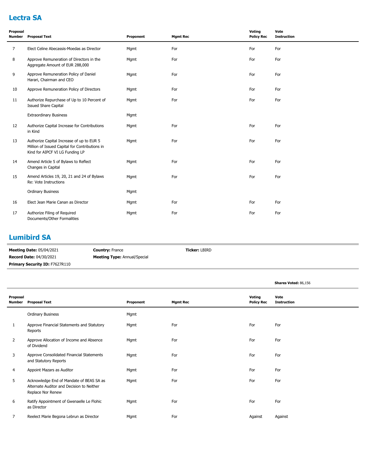# **Lectra SA**

| Proposal<br><b>Number</b> | <b>Proposal Text</b>                                                                                                           | Proponent | <b>Mgmt Rec</b> | Voting<br><b>Policy Rec</b> | Vote<br><b>Instruction</b> |
|---------------------------|--------------------------------------------------------------------------------------------------------------------------------|-----------|-----------------|-----------------------------|----------------------------|
| $\overline{7}$            | Elect Celine Abecassis-Moedas as Director                                                                                      | Mgmt      | For             | For                         | For                        |
| 8                         | Approve Remuneration of Directors in the<br>Aggregate Amount of EUR 288,000                                                    | Mgmt      | For             | For                         | For                        |
| 9                         | Approve Remuneration Policy of Daniel<br>Harari, Chairman and CEO                                                              | Mgmt      | For             | For                         | For                        |
| 10                        | Approve Remuneration Policy of Directors                                                                                       | Mgmt      | For             | For                         | For                        |
| 11                        | Authorize Repurchase of Up to 10 Percent of<br><b>Issued Share Capital</b>                                                     | Mgmt      | For             | For                         | For                        |
|                           | <b>Extraordinary Business</b>                                                                                                  | Mgmt      |                 |                             |                            |
| 12                        | Authorize Capital Increase for Contributions<br>in Kind                                                                        | Mgmt      | For             | For                         | For                        |
| 13                        | Authorize Capital Increase of up to EUR 5<br>Million of Issued Capital for Contributions in<br>Kind for AIPCF VI LG Funding LP | Mgmt      | For             | For                         | For                        |
| 14                        | Amend Article 5 of Bylaws to Reflect<br>Changes in Capital                                                                     | Mgmt      | For             | For                         | For                        |
| 15                        | Amend Articles 19, 20, 21 and 24 of Bylaws<br>Re: Vote Instructions                                                            | Mgmt      | For             | For                         | For                        |
|                           | <b>Ordinary Business</b>                                                                                                       | Mgmt      |                 |                             |                            |
| 16                        | Elect Jean Marie Canan as Director                                                                                             | Mgmt      | For             | For                         | For                        |
| 17                        | Authorize Filing of Required<br>Documents/Other Formalities                                                                    | Mgmt      | For             | For                         | For                        |

#### **Lumibird SA**

| <b>Meeting Date: 05/04/2021</b>       | <b>Country: France</b>              | <b>Ticker: LBIRD</b> |
|---------------------------------------|-------------------------------------|----------------------|
| <b>Record Date: 04/30/2021</b>        | <b>Meeting Type:</b> Annual/Special |                      |
| <b>Primary Security ID: F7627R110</b> |                                     |                      |

|                    |                                                                                                            |           |                 |                             | Shares Voted: 86,156       |
|--------------------|------------------------------------------------------------------------------------------------------------|-----------|-----------------|-----------------------------|----------------------------|
| Proposal<br>Number | <b>Proposal Text</b>                                                                                       | Proponent | <b>Mgmt Rec</b> | Voting<br><b>Policy Rec</b> | Vote<br><b>Instruction</b> |
|                    | <b>Ordinary Business</b>                                                                                   | Mgmt      |                 |                             |                            |
| 1                  | Approve Financial Statements and Statutory<br>Reports                                                      | Mgmt      | For             | For                         | For                        |
| 2                  | Approve Allocation of Income and Absence<br>of Dividend                                                    | Mgmt      | For             | For                         | For                        |
| 3                  | Approve Consolidated Financial Statements<br>and Statutory Reports                                         | Mgmt      | For             | For                         | For                        |
| 4                  | Appoint Mazars as Auditor                                                                                  | Mgmt      | For             | For                         | For                        |
| 5                  | Acknowledge End of Mandate of BEAS SA as<br>Alternate Auditor and Decision to Neither<br>Replace Nor Renew | Mgmt      | For             | For                         | For                        |
| 6                  | Ratify Appointment of Gwenaelle Le Flohic<br>as Director                                                   | Mgmt      | For             | For                         | For                        |
| 7                  | Reelect Marie Begona Lebrun as Director                                                                    | Mgmt      | For             | Against                     | Against                    |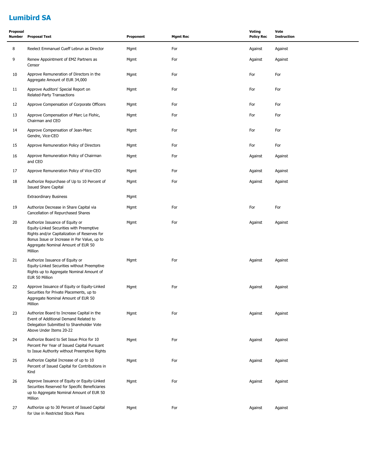# **Lumibird SA**

| Proposal<br>Number | <b>Proposal Text</b>                                                                                                                                                                                                        | Proponent | <b>Mgmt Rec</b> | Voting<br><b>Policy Rec</b> | Vote<br><b>Instruction</b> |
|--------------------|-----------------------------------------------------------------------------------------------------------------------------------------------------------------------------------------------------------------------------|-----------|-----------------|-----------------------------|----------------------------|
| 8                  | Reelect Emmanuel Cueff Lebrun as Director                                                                                                                                                                                   | Mgmt      | For             | Against                     | Against                    |
| 9                  | Renew Appointment of EMZ Partners as<br>Censor                                                                                                                                                                              | Mgmt      | For             | Against                     | Against                    |
| 10                 | Approve Remuneration of Directors in the<br>Aggregate Amount of EUR 34,000                                                                                                                                                  | Mgmt      | For             | For                         | For                        |
| 11                 | Approve Auditors' Special Report on<br>Related-Party Transactions                                                                                                                                                           | Mgmt      | For             | For                         | For                        |
| 12                 | Approve Compensation of Corporate Officers                                                                                                                                                                                  | Mgmt      | For             | For                         | For                        |
| 13                 | Approve Compensation of Marc Le Flohic,<br>Chairman and CEO                                                                                                                                                                 | Mgmt      | For             | For                         | For                        |
| 14                 | Approve Compensation of Jean-Marc<br>Gendre, Vice-CEO                                                                                                                                                                       | Mgmt      | For             | For                         | For                        |
| 15                 | Approve Remuneration Policy of Directors                                                                                                                                                                                    | Mgmt      | For             | For                         | For                        |
| 16                 | Approve Remuneration Policy of Chairman<br>and CEO                                                                                                                                                                          | Mgmt      | For             | Against                     | Against                    |
| 17                 | Approve Remuneration Policy of Vice-CEO                                                                                                                                                                                     | Mgmt      | For             | Against                     | Against                    |
| 18                 | Authorize Repurchase of Up to 10 Percent of<br><b>Issued Share Capital</b>                                                                                                                                                  | Mgmt      | For             | Against                     | Against                    |
|                    | <b>Extraordinary Business</b>                                                                                                                                                                                               | Mgmt      |                 |                             |                            |
| 19                 | Authorize Decrease in Share Capital via<br>Cancellation of Repurchased Shares                                                                                                                                               | Mgmt      | For             | For                         | For                        |
| 20                 | Authorize Issuance of Equity or<br>Equity-Linked Securities with Preemptive<br>Rights and/or Capitalization of Reserves for<br>Bonus Issue or Increase in Par Value, up to<br>Aggregate Nominal Amount of EUR 50<br>Million | Mgmt      | For             | Against                     | Against                    |
| 21                 | Authorize Issuance of Equity or<br>Equity-Linked Securities without Preemptive<br>Rights up to Aggregate Nominal Amount of<br>EUR 50 Million                                                                                | Mgmt      | For             | Against                     | Against                    |
| 22                 | Approve Issuance of Equity or Equity-Linked<br>Securities for Private Placements, up to<br>Aggregate Nominal Amount of EUR 50<br>Million                                                                                    | Mgmt      | For             | Against                     | Against                    |
| 23                 | Authorize Board to Increase Capital in the<br>Event of Additional Demand Related to<br>Delegation Submitted to Shareholder Vote<br>Above Under Items 20-22                                                                  | Mgmt      | For             | Against                     | Against                    |
| 24                 | Authorize Board to Set Issue Price for 10<br>Percent Per Year of Issued Capital Pursuant<br>to Issue Authority without Preemptive Rights                                                                                    | Mgmt      | For             | Against                     | Against                    |
| 25                 | Authorize Capital Increase of up to 10<br>Percent of Issued Capital for Contributions in<br>Kind                                                                                                                            | Mgmt      | For             | Against                     | Against                    |
| 26                 | Approve Issuance of Equity or Equity-Linked<br>Securities Reserved for Specific Beneficiaries<br>up to Aggregate Nominal Amount of EUR 50<br>Million                                                                        | Mgmt      | For             | Against                     | Against                    |
| 27                 | Authorize up to 30 Percent of Issued Capital<br>for Use in Restricted Stock Plans                                                                                                                                           | Mgmt      | For             | Against                     | Against                    |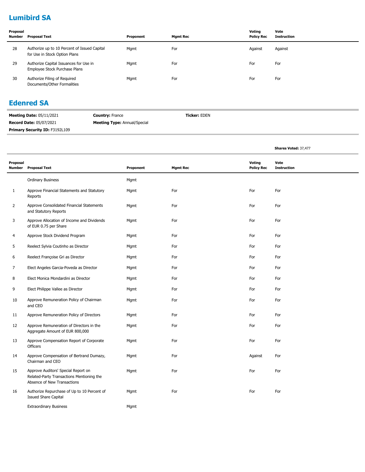# **Lumibird SA**

| Proposal<br>Number | Proposal Text                                                                 | Proponent | Mamt Rec | Voting<br><b>Policy Rec</b> | Vote<br>Instruction |
|--------------------|-------------------------------------------------------------------------------|-----------|----------|-----------------------------|---------------------|
| 28                 | Authorize up to 10 Percent of Issued Capital<br>for Use in Stock Option Plans | Mgmt      | For      | Against                     | Against             |
| 29                 | Authorize Capital Issuances for Use in<br>Employee Stock Purchase Plans       | Mgmt      | For      | For                         | For                 |
| 30                 | Authorize Filing of Required<br>Documents/Other Formalities                   | Mgmt      | For      | For                         | For                 |

#### **Edenred SA**

| <b>Meeting Date: 05/11/2021</b>       | <b>Country: France</b>              | <b>Ticker:</b> EDEN |
|---------------------------------------|-------------------------------------|---------------------|
| <b>Record Date: 05/07/2021</b>        | <b>Meeting Type:</b> Annual/Special |                     |
| <b>Primary Security ID: F3192L109</b> |                                     |                     |

L,

|                    |                                                                                                                 |           |                 |                             | Shares Voted: 37,477       |
|--------------------|-----------------------------------------------------------------------------------------------------------------|-----------|-----------------|-----------------------------|----------------------------|
| Proposal<br>Number | <b>Proposal Text</b>                                                                                            | Proponent | <b>Mgmt Rec</b> | Voting<br><b>Policy Rec</b> | Vote<br><b>Instruction</b> |
|                    | <b>Ordinary Business</b>                                                                                        | Mgmt      |                 |                             |                            |
| 1                  | Approve Financial Statements and Statutory<br>Reports                                                           | Mgmt      | For             | For                         | For                        |
| $\overline{2}$     | Approve Consolidated Financial Statements<br>and Statutory Reports                                              | Mgmt      | For             | For                         | For                        |
| 3                  | Approve Allocation of Income and Dividends<br>of EUR 0.75 per Share                                             | Mgmt      | For             | For                         | For                        |
| $\overline{4}$     | Approve Stock Dividend Program                                                                                  | Mgmt      | For             | For                         | For                        |
| 5                  | Reelect Sylvia Coutinho as Director                                                                             | Mgmt      | For             | For                         | For                        |
| 6                  | Reelect Françoise Gri as Director                                                                               | Mgmt      | For             | For                         | For                        |
| $\overline{7}$     | Elect Angeles Garcia-Poveda as Director                                                                         | Mgmt      | For             | For                         | For                        |
| 8                  | Elect Monica Mondardini as Director                                                                             | Mgmt      | For             | For                         | For                        |
| 9                  | Elect Philippe Vallee as Director                                                                               | Mgmt      | For             | For                         | For                        |
| 10                 | Approve Remuneration Policy of Chairman<br>and CEO                                                              | Mgmt      | For             | For                         | For                        |
| 11                 | Approve Remuneration Policy of Directors                                                                        | Mgmt      | For             | For                         | For                        |
| 12                 | Approve Remuneration of Directors in the<br>Aggregate Amount of EUR 800,000                                     | Mgmt      | For             | For                         | For                        |
| 13                 | Approve Compensation Report of Corporate<br>Officers                                                            | Mgmt      | For             | For                         | For                        |
| 14                 | Approve Compensation of Bertrand Dumazy,<br>Chairman and CEO                                                    | Mgmt      | For             | Against                     | For                        |
| 15                 | Approve Auditors' Special Report on<br>Related-Party Transactions Mentioning the<br>Absence of New Transactions | Mgmt      | For             | For                         | For                        |
| 16                 | Authorize Repurchase of Up to 10 Percent of<br><b>Issued Share Capital</b>                                      | Mgmt      | For             | For                         | For                        |
|                    | <b>Extraordinary Business</b>                                                                                   | Mgmt      |                 |                             |                            |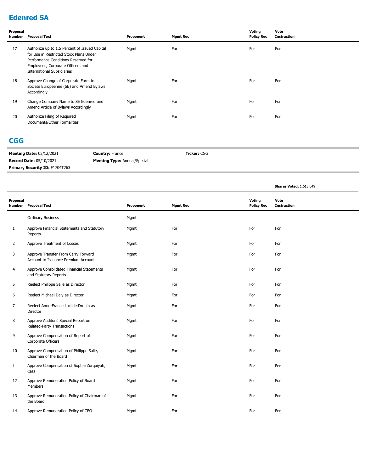# **Edenred SA**

| Proposal<br>Number | <b>Proposal Text</b>                                                                                                                                                                                      | Proponent | <b>Mgmt Rec</b> | Voting<br><b>Policy Rec</b> | Vote<br><b>Instruction</b> |
|--------------------|-----------------------------------------------------------------------------------------------------------------------------------------------------------------------------------------------------------|-----------|-----------------|-----------------------------|----------------------------|
| 17                 | Authorize up to 1.5 Percent of Issued Capital<br>for Use in Restricted Stock Plans Under<br>Performance Conditions Reserved for<br>Employees, Corporate Officers and<br><b>International Subsidiaries</b> | Mgmt      | For             | For                         | For                        |
| 18                 | Approve Change of Corporate Form to<br>Societe Europeenne (SE) and Amend Bylaws<br>Accordingly                                                                                                            | Mgmt      | For             | For                         | For                        |
| 19                 | Change Company Name to SE Edenred and<br>Amend Article of Bylaws Accordingly                                                                                                                              | Mgmt      | For             | For                         | For                        |
| 20                 | Authorize Filing of Required<br>Documents/Other Formalities                                                                                                                                               | Mgmt      | For             | For                         | For                        |

#### **CGG**

| <b>Meeting Date: 05/12/2021</b>       | <b>Country: France</b>              | <b>Ticker:</b> CGG |
|---------------------------------------|-------------------------------------|--------------------|
| <b>Record Date: 05/10/2021</b>        | <b>Meeting Type: Annual/Special</b> |                    |
| <b>Primary Security ID: F1704T263</b> |                                     |                    |

|                           |                                                                            |           |                 |                             | <b>Shares Voted: 1,618,049</b> |
|---------------------------|----------------------------------------------------------------------------|-----------|-----------------|-----------------------------|--------------------------------|
| Proposal<br><b>Number</b> | <b>Proposal Text</b>                                                       | Proponent | <b>Mgmt Rec</b> | Voting<br><b>Policy Rec</b> | Vote<br><b>Instruction</b>     |
|                           | <b>Ordinary Business</b>                                                   | Mgmt      |                 |                             |                                |
| $\mathbf{1}$              | Approve Financial Statements and Statutory<br>Reports                      | Mgmt      | For             | For                         | For                            |
| $\overline{2}$            | Approve Treatment of Losses                                                | Mgmt      | For             | For                         | For                            |
| 3                         | Approve Transfer From Carry Forward<br>Account to Issuance Premium Account | Mgmt      | For             | For                         | For                            |
| 4                         | Approve Consolidated Financial Statements<br>and Statutory Reports         | Mgmt      | For             | For                         | For                            |
| 5                         | Reelect Philippe Salle as Director                                         | Mgmt      | For             | For                         | For                            |
| 6                         | Reelect Michael Daly as Director                                           | Mgmt      | For             | For                         | For                            |
| 7                         | Reelect Anne-France Laclide-Drouin as<br>Director                          | Mgmt      | For             | For                         | For                            |
| 8                         | Approve Auditors' Special Report on<br>Related-Party Transactions          | Mgmt      | For             | For                         | For                            |
| 9                         | Approve Compensation of Report of<br>Corporate Officers                    | Mgmt      | For             | For                         | For                            |
| 10                        | Approve Compensation of Philippe Salle,<br>Chairman of the Board           | Mgmt      | For             | For                         | For                            |
| 11                        | Approve Compensation of Sophie Zurquiyah,<br>CEO                           | Mgmt      | For             | For                         | For                            |
| 12                        | Approve Remuneration Policy of Board<br>Members                            | Mgmt      | For             | For                         | For                            |
| 13                        | Approve Remuneration Policy of Chairman of<br>the Board                    | Mgmt      | For             | For                         | For                            |
| 14                        | Approve Remuneration Policy of CEO                                         | Mgmt      | For             | For                         | For                            |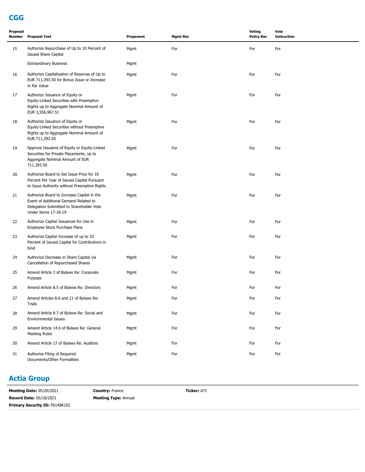## **CGG**

| Proposal<br>Number | <b>Proposal Text</b>                                                                                                                                    | Proponent | <b>Mgmt Rec</b> | Voting<br><b>Policy Rec</b> | Vote<br><b>Instruction</b> |
|--------------------|---------------------------------------------------------------------------------------------------------------------------------------------------------|-----------|-----------------|-----------------------------|----------------------------|
| 15                 | Authorize Repurchase of Up to 10 Percent of<br><b>Issued Share Capital</b>                                                                              | Mgmt      | For             | For                         | For                        |
|                    | <b>Extraordinary Business</b>                                                                                                                           | Mgmt      |                 |                             |                            |
| 16                 | Authorize Capitalization of Reserves of Up to<br>EUR 711,393.50 for Bonus Issue or Increase<br>in Par Value                                             | Mgmt      | For             | For                         | For                        |
| 17                 | Authorize Issuance of Equity or<br>Equity-Linked Securities with Preemptive<br>Rights up to Aggregate Nominal Amount of<br>EUR 3,556,967.51             | Mgmt      | For             | For                         | For                        |
| 18                 | Authorize Issuance of Equity or<br>Equity-Linked Securities without Preemptive<br>Rights up to Aggregate Nominal Amount of<br>EUR 711,393.50            | Mgmt      | For             | For                         | For                        |
| 19                 | Approve Issuance of Equity or Equity-Linked<br>Securities for Private Placements, up to<br>Aggregate Nominal Amount of EUR<br>711,393.50                | Mgmt      | For             | For                         | For                        |
| 20                 | Authorize Board to Set Issue Price for 10<br>Percent Per Year of Issued Capital Pursuant<br>to Issue Authority without Preemptive Rights                | Mgmt      | For             | For                         | For                        |
| 21                 | Authorize Board to Increase Capital in the<br>Event of Additional Demand Related to<br>Delegation Submitted to Shareholder Vote<br>Under Items 17-18-19 | Mgmt      | For             | For                         | For                        |
| 22                 | Authorize Capital Issuances for Use in<br>Employee Stock Purchase Plans                                                                                 | Mgmt      | For             | For                         | For                        |
| 23                 | Authorize Capital Increase of up to 10<br>Percent of Issued Capital for Contributions in<br>Kind                                                        | Mgmt      | For             | For                         | For                        |
| 24                 | Authorize Decrease in Share Capital via<br>Cancellation of Repurchased Shares                                                                           | Mgmt      | For             | For                         | For                        |
| 25                 | Amend Article 2 of Bylaws Re: Corporate<br>Purpose                                                                                                      | Mgmt      | For             | For                         | For                        |
| 26                 | Amend Article 8.5 of Bylaws Re: Directors                                                                                                               | Mgmt      | For             | For                         | For                        |
| 27                 | Amend Articles 8.6 and 21 of Bylaws Re:<br>Trials                                                                                                       | Mgmt      | For             | For                         | For                        |
| 28                 | Amend Article 8.7 of Bylaws Re: Social and<br><b>Environmental Issues</b>                                                                               | Mgmt      | For             | For                         | For                        |
| 29                 | Amend Article 14.6 of Bylaws Re: General<br><b>Meeting Rules</b>                                                                                        | Mgmt      | For             | For                         | For                        |
| 30                 | Amend Article 17 of Bylaws Re: Auditors                                                                                                                 | Mgmt      | For             | For                         | For                        |
| 31                 | Authorize Filing of Required<br>Documents/Other Formalities                                                                                             | Mgmt      | For             | For                         | For                        |

### **Actia Group**

| <b>Meeting Date: 05/20/2021</b>       | <b>Country: France</b>      | <b>Ticker: ATI</b> |
|---------------------------------------|-----------------------------|--------------------|
| <b>Record Date: 05/18/2021</b>        | <b>Meeting Type: Annual</b> |                    |
| <b>Primary Security ID: F0148K102</b> |                             |                    |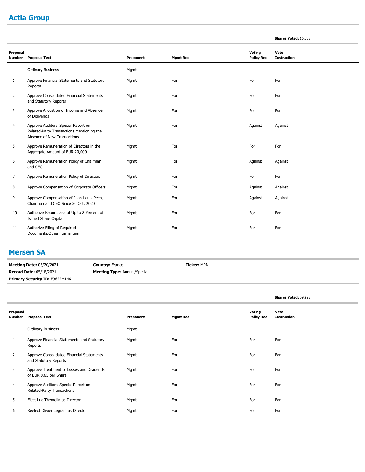# **Actia Group**

| <b>Shares Voted: 16,753</b> |  |  |
|-----------------------------|--|--|
|-----------------------------|--|--|

| Proposal<br><b>Number</b> | <b>Proposal Text</b>                                                                                            | Proponent | <b>Mgmt Rec</b> | Voting<br><b>Policy Rec</b> | Vote<br><b>Instruction</b> |
|---------------------------|-----------------------------------------------------------------------------------------------------------------|-----------|-----------------|-----------------------------|----------------------------|
|                           | <b>Ordinary Business</b>                                                                                        | Mgmt      |                 |                             |                            |
| 1                         | Approve Financial Statements and Statutory<br>Reports                                                           | Mgmt      | For             | For                         | For                        |
| $\overline{2}$            | Approve Consolidated Financial Statements<br>and Statutory Reports                                              | Mgmt      | For             | For                         | For                        |
| 3                         | Approve Allocation of Income and Absence<br>of Didivends                                                        | Mgmt      | For             | For                         | For                        |
| 4                         | Approve Auditors' Special Report on<br>Related-Party Transactions Mentioning the<br>Absence of New Transactions | Mgmt      | For             | Against                     | Against                    |
| 5                         | Approve Remuneration of Directors in the<br>Aggregate Amount of EUR 20,000                                      | Mgmt      | For             | For                         | For                        |
| 6                         | Approve Remuneration Policy of Chairman<br>and CEO                                                              | Mgmt      | For             | Against                     | Against                    |
| 7                         | Approve Remuneration Policy of Directors                                                                        | Mgmt      | For             | For                         | For                        |
| 8                         | Approve Compensation of Corporate Officers                                                                      | Mgmt      | For             | Against                     | Against                    |
| 9                         | Approve Compensation of Jean-Louis Pech,<br>Chairman and CEO Since 30 Oct. 2020                                 | Mgmt      | For             | Against                     | Against                    |
| 10                        | Authorize Repurchase of Up to 2 Percent of<br><b>Issued Share Capital</b>                                       | Mgmt      | For             | For                         | For                        |
| 11                        | Authorize Filing of Required<br>Documents/Other Formalities                                                     | Mgmt      | For             | For                         | For                        |

#### **Mersen SA**

m.

| <b>Meeting Date: 05/20/2021</b> | <b>Country: France</b>              | <b>Ticker:</b> MRN |
|---------------------------------|-------------------------------------|--------------------|
| <b>Record Date: 05/18/2021</b>  | <b>Meeting Type:</b> Annual/Special |                    |
| Primary Security ID: F9622M146  |                                     |                    |

|                    |                                                                    |           |                 |                             | Shares Voted: 59,993       |
|--------------------|--------------------------------------------------------------------|-----------|-----------------|-----------------------------|----------------------------|
| Proposal<br>Number | <b>Proposal Text</b>                                               | Proponent | <b>Mgmt Rec</b> | Voting<br><b>Policy Rec</b> | Vote<br><b>Instruction</b> |
|                    | <b>Ordinary Business</b>                                           | Mgmt      |                 |                             |                            |
|                    | Approve Financial Statements and Statutory<br>Reports              | Mgmt      | For             | For                         | For                        |
| $\overline{2}$     | Approve Consolidated Financial Statements<br>and Statutory Reports | Mgmt      | For             | For                         | For                        |
| 3                  | Approve Treatment of Losses and Dividends<br>of EUR 0.65 per Share | Mgmt      | For             | For                         | For                        |
| 4                  | Approve Auditors' Special Report on<br>Related-Party Transactions  | Mgmt      | For             | For                         | For                        |
| 5                  | Elect Luc Themelin as Director                                     | Mgmt      | For             | For                         | For                        |
| 6                  | Reelect Olivier Legrain as Director                                | Mgmt      | For             | For                         | For                        |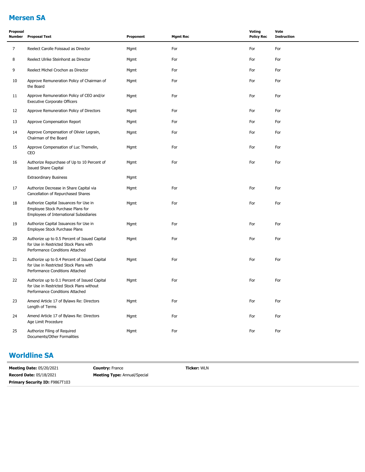# **Mersen SA**

| Proposal<br>Number | <b>Proposal Text</b>                                                                                                          | Proponent | <b>Mgmt Rec</b> | <b>Voting</b><br><b>Policy Rec</b> | Vote<br><b>Instruction</b> |
|--------------------|-------------------------------------------------------------------------------------------------------------------------------|-----------|-----------------|------------------------------------|----------------------------|
| $\overline{7}$     | Reelect Carolle Foissaud as Director                                                                                          | Mgmt      | For             | For                                | For                        |
| 8                  | Reelect Ulrike Steinhorst as Director                                                                                         | Mgmt      | For             | For                                | For                        |
| 9                  | Reelect Michel Crochon as Director                                                                                            | Mgmt      | For             | For                                | For                        |
| 10                 | Approve Remuneration Policy of Chairman of<br>the Board                                                                       | Mgmt      | For             | For                                | For                        |
| 11                 | Approve Remuneration Policy of CEO and/or<br><b>Executive Corporate Officers</b>                                              | Mgmt      | For             | For                                | For                        |
| 12                 | Approve Remuneration Policy of Directors                                                                                      | Mgmt      | For             | For                                | For                        |
| 13                 | Approve Compensation Report                                                                                                   | Mgmt      | For             | For                                | For                        |
| 14                 | Approve Compensation of Olivier Legrain,<br>Chairman of the Board                                                             | Mgmt      | For             | For                                | For                        |
| 15                 | Approve Compensation of Luc Themelin,<br>CEO                                                                                  | Mgmt      | For             | For                                | For                        |
| 16                 | Authorize Repurchase of Up to 10 Percent of<br><b>Issued Share Capital</b>                                                    | Mgmt      | For             | For                                | For                        |
|                    | <b>Extraordinary Business</b>                                                                                                 | Mgmt      |                 |                                    |                            |
| 17                 | Authorize Decrease in Share Capital via<br>Cancellation of Repurchased Shares                                                 | Mgmt      | For             | For                                | For                        |
| 18                 | Authorize Capital Issuances for Use in<br>Employee Stock Purchase Plans for<br>Employees of International Subsidiaries        | Mgmt      | For             | For                                | For                        |
| 19                 | Authorize Capital Issuances for Use in<br>Employee Stock Purchase Plans                                                       | Mgmt      | For             | For                                | For                        |
| 20                 | Authorize up to 0.5 Percent of Issued Capital<br>for Use in Restricted Stock Plans with<br>Performance Conditions Attached    | Mgmt      | For             | For                                | For                        |
| 21                 | Authorize up to 0.4 Percent of Issued Capital<br>for Use in Restricted Stock Plans with<br>Performance Conditions Attached    | Mgmt      | For             | For                                | For                        |
| 22                 | Authorize up to 0.1 Percent of Issued Capital<br>for Use in Restricted Stock Plans without<br>Performance Conditions Attached | Mgmt      | For             | For                                | For                        |
| 23                 | Amend Article 17 of Bylaws Re: Directors<br>Length of Terms                                                                   | Mgmt      | For             | For                                | For                        |
| 24                 | Amend Article 17 of Bylaws Re: Directors<br>Age Limit Procedure                                                               | Mgmt      | For             | For                                | For                        |
| 25                 | Authorize Filing of Required<br>Documents/Other Formalities                                                                   | Mgmt      | For             | For                                | For                        |

# **Worldline SA**

**Meeting Date:** 05/20/2021 **Record Date:** 05/18/2021 **Country:** France **Meeting Type:** Annual/Special **Primary Security ID:** F9867T103

**Ticker:** WLN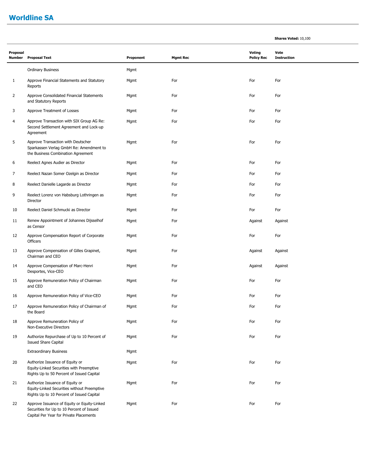#### **Worldline SA**

| Proposal<br>Number | <b>Proposal Text</b>                                                                                                     | Proponent | <b>Mgmt Rec</b> | Voting<br><b>Policy Rec</b> | Vote<br><b>Instruction</b> |
|--------------------|--------------------------------------------------------------------------------------------------------------------------|-----------|-----------------|-----------------------------|----------------------------|
|                    | <b>Ordinary Business</b>                                                                                                 | Mgmt      |                 |                             |                            |
| $\mathbf{1}$       | Approve Financial Statements and Statutory<br>Reports                                                                    | Mgmt      | For             | For                         | For                        |
| 2                  | Approve Consolidated Financial Statements<br>and Statutory Reports                                                       | Mgmt      | For             | For                         | For                        |
| 3                  | Approve Treatment of Losses                                                                                              | Mgmt      | For             | For                         | For                        |
| 4                  | Approve Transaction with SIX Group AG Re:<br>Second Settlement Agreement and Lock-up<br>Agreement                        | Mgmt      | For             | For                         | For                        |
| 5                  | Approve Transaction with Deutscher<br>Sparkassen Verlag GmbH Re: Amendment to<br>the Business Combination Agreement      | Mgmt      | For             | For                         | For                        |
| 6                  | Reelect Agnes Audier as Director                                                                                         | Mgmt      | For             | For                         | For                        |
| 7                  | Reelect Nazan Somer Ozelgin as Director                                                                                  | Mgmt      | For             | For                         | For                        |
| 8                  | Reelect Danielle Lagarde as Director                                                                                     | Mgmt      | For             | For                         | For                        |
| 9                  | Reelect Lorenz von Habsburg Lothringen as<br>Director                                                                    | Mgmt      | For             | For                         | For                        |
| 10                 | Reelect Daniel Schmucki as Director                                                                                      | Mgmt      | For             | For                         | For                        |
| 11                 | Renew Appointment of Johannes Dijsselhof<br>as Censor                                                                    | Mgmt      | For             | Against                     | Against                    |
| 12                 | Approve Compensation Report of Corporate<br><b>Officers</b>                                                              | Mgmt      | For             | For                         | For                        |
| 13                 | Approve Compensation of Gilles Grapinet,<br>Chairman and CEO                                                             | Mgmt      | For             | Against                     | Against                    |
| 14                 | Approve Compensation of Marc-Henri<br>Desportes, Vice-CEO                                                                | Mgmt      | For             | Against                     | Against                    |
| 15                 | Approve Remuneration Policy of Chairman<br>and CEO                                                                       | Mgmt      | For             | For                         | For                        |
| 16                 | Approve Remuneration Policy of Vice-CEO                                                                                  | Mgmt      | For             | For                         | For                        |
| 17                 | Approve Remuneration Policy of Chairman of<br>the Board                                                                  | Mgmt      | For             | For                         | For                        |
| 18                 | Approve Remuneration Policy of<br>Non-Executive Directors                                                                | Mgmt      | For             | For                         | For                        |
| 19                 | Authorize Repurchase of Up to 10 Percent of<br><b>Issued Share Capital</b>                                               | Mgmt      | For             | For                         | For                        |
|                    | <b>Extraordinary Business</b>                                                                                            | Mgmt      |                 |                             |                            |
| 20                 | Authorize Issuance of Equity or<br>Equity-Linked Securities with Preemptive<br>Rights Up to 50 Percent of Issued Capital | Mgmt      | For             | For                         | For                        |

Authorize Issuance of Equity or Mgmt For For For Equity-Linked Securities without Preemptive Rights Up to 10 Percent of Issued Capital 21

Approve Issuance of Equity or Equity-Linked Mgmt Mgmt For For For For For For For Securities for Up to 10 Percent of Issued Capital Per Year for Private Placements 22

**Shares Voted:** 10,100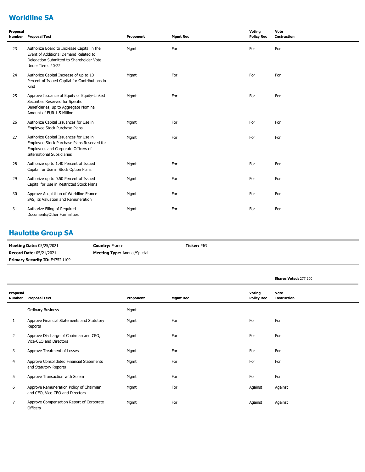# **Worldline SA**

| Proposal<br>Number | <b>Proposal Text</b>                                                                                                                                             | Proponent | <b>Mgmt Rec</b> | Voting<br><b>Policy Rec</b> | Vote<br><b>Instruction</b> |
|--------------------|------------------------------------------------------------------------------------------------------------------------------------------------------------------|-----------|-----------------|-----------------------------|----------------------------|
| 23                 | Authorize Board to Increase Capital in the<br>Event of Additional Demand Related to<br>Delegation Submitted to Shareholder Vote<br>Under Items 20-22             | Mgmt      | For             | For                         | For                        |
| 24                 | Authorize Capital Increase of up to 10<br>Percent of Issued Capital for Contributions in<br>Kind                                                                 | Mgmt      | For             | For                         | For                        |
| 25                 | Approve Issuance of Equity or Equity-Linked<br>Securities Reserved for Specific<br>Beneficiaries, up to Aggregate Nominal<br>Amount of EUR 1.5 Million           | Mgmt      | For             | For                         | For                        |
| 26                 | Authorize Capital Issuances for Use in<br>Employee Stock Purchase Plans                                                                                          | Mgmt      | For             | For                         | For                        |
| 27                 | Authorize Capital Issuances for Use in<br>Employee Stock Purchase Plans Reserved for<br>Employees and Corporate Officers of<br><b>International Subsidiaries</b> | Mgmt      | For             | For                         | For                        |
| 28                 | Authorize up to 1.40 Percent of Issued<br>Capital for Use in Stock Option Plans                                                                                  | Mgmt      | For             | For                         | For                        |
| 29                 | Authorize up to 0.50 Percent of Issued<br>Capital for Use in Restricted Stock Plans                                                                              | Mgmt      | For             | For                         | For                        |
| 30                 | Approve Acquisition of Worldline France<br>SAS, its Valuation and Remuneration                                                                                   | Mgmt      | For             | For                         | For                        |
| 31                 | Authorize Filing of Required<br>Documents/Other Formalities                                                                                                      | Mgmt      | For             | For                         | For                        |

### **Haulotte Group SA**

| <b>Meeting Date: 05/25/2021</b> | <b>Country: France</b>              | <b>Ticker: PIG</b> |
|---------------------------------|-------------------------------------|--------------------|
| <b>Record Date: 05/21/2021</b>  | <b>Meeting Type:</b> Annual/Special |                    |
| Primary Security ID: F4752U109  |                                     |                    |

|                    |                                                                            |           |                 |                             | Shares Voted: 277,200      |
|--------------------|----------------------------------------------------------------------------|-----------|-----------------|-----------------------------|----------------------------|
| Proposal<br>Number | <b>Proposal Text</b>                                                       | Proponent | <b>Mgmt Rec</b> | Voting<br><b>Policy Rec</b> | Vote<br><b>Instruction</b> |
|                    | <b>Ordinary Business</b>                                                   | Mgmt      |                 |                             |                            |
| 1                  | Approve Financial Statements and Statutory<br>Reports                      | Mgmt      | For             | For                         | For                        |
| 2                  | Approve Discharge of Chairman and CEO,<br>Vice-CEO and Directors           | Mgmt      | For             | For                         | For                        |
| 3                  | Approve Treatment of Losses                                                | Mgmt      | For             | For                         | For                        |
| 4                  | Approve Consolidated Financial Statements<br>and Statutory Reports         | Mgmt      | For             | For                         | For                        |
| 5                  | Approve Transaction with Solem                                             | Mgmt      | For             | For                         | For                        |
| 6                  | Approve Remuneration Policy of Chairman<br>and CEO, Vice-CEO and Directors | Mgmt      | For             | Against                     | Against                    |
| 7                  | Approve Compensation Report of Corporate<br>Officers                       | Mgmt      | For             | Against                     | Against                    |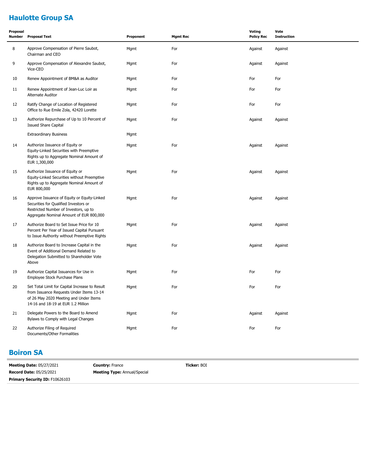# **Haulotte Group SA**

| Proposal<br><b>Number</b> | <b>Proposal Text</b>                                                                                                                                                       | Proponent | <b>Mgmt Rec</b> | <b>Voting</b><br><b>Policy Rec</b> | Vote<br><b>Instruction</b> |
|---------------------------|----------------------------------------------------------------------------------------------------------------------------------------------------------------------------|-----------|-----------------|------------------------------------|----------------------------|
| 8                         | Approve Compensation of Pierre Saubot,<br>Chairman and CEO                                                                                                                 | Mgmt      | For             | Against                            | Against                    |
| 9                         | Approve Compensation of Alexandre Saubot,<br>Vice-CEO                                                                                                                      | Mgmt      | For             | Against                            | Against                    |
| 10                        | Renew Appointment of BM&A as Auditor                                                                                                                                       | Mgmt      | For             | For                                | For                        |
| 11                        | Renew Appointment of Jean-Luc Loir as<br>Alternate Auditor                                                                                                                 | Mgmt      | For             | For                                | For                        |
| 12                        | Ratify Change of Location of Registered<br>Office to Rue Emile Zola, 42420 Lorette                                                                                         | Mgmt      | For             | For                                | For                        |
| 13                        | Authorize Repurchase of Up to 10 Percent of<br><b>Issued Share Capital</b>                                                                                                 | Mgmt      | For             | Against                            | Against                    |
|                           | <b>Extraordinary Business</b>                                                                                                                                              | Mgmt      |                 |                                    |                            |
| 14                        | Authorize Issuance of Equity or<br>Equity-Linked Securities with Preemptive<br>Rights up to Aggregate Nominal Amount of<br>EUR 1,300,000                                   | Mgmt      | For             | Against                            | Against                    |
| 15                        | Authorize Issuance of Equity or<br>Equity-Linked Securities without Preemptive<br>Rights up to Aggregate Nominal Amount of<br>EUR 800,000                                  | Mgmt      | For             | Against                            | Against                    |
| 16                        | Approve Issuance of Equity or Equity-Linked<br>Securities for Qualified Investors or<br>Restricted Number of Investors, up to<br>Aggregate Nominal Amount of EUR 800,000   | Mgmt      | For             | Against                            | Against                    |
| 17                        | Authorize Board to Set Issue Price for 10<br>Percent Per Year of Issued Capital Pursuant<br>to Issue Authority without Preemptive Rights                                   | Mgmt      | For             | Against                            | Against                    |
| 18                        | Authorize Board to Increase Capital in the<br>Event of Additional Demand Related to<br>Delegation Submitted to Shareholder Vote<br>Above                                   | Mgmt      | For             | Against                            | Against                    |
| 19                        | Authorize Capital Issuances for Use in<br>Employee Stock Purchase Plans                                                                                                    | Mgmt      | For             | For                                | For                        |
| 20                        | Set Total Limit for Capital Increase to Result<br>from Issuance Requests Under Items 13-14<br>of 26 May 2020 Meeting and Under Items<br>14-16 and 18-19 at EUR 1.2 Million | Mgmt      | For             | For                                | For                        |
| 21                        | Delegate Powers to the Board to Amend<br>Bylaws to Comply with Legal Changes                                                                                               | Mgmt      | For             | Against                            | Against                    |
| 22                        | Authorize Filing of Required<br>Documents/Other Formalities                                                                                                                | Mgmt      | For             | For                                | For                        |

#### **Boiron SA**

| <b>Meeting Date: 05/27/2021</b>       | <b>Country: France</b>              | <b>Ticker: BOI</b> |
|---------------------------------------|-------------------------------------|--------------------|
| <b>Record Date: 05/25/2021</b>        | <b>Meeting Type: Annual/Special</b> |                    |
| <b>Primary Security ID: F10626103</b> |                                     |                    |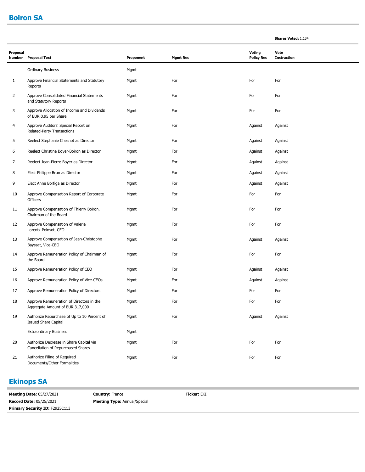#### **Boiron SA**

| Proposal<br><b>Number</b> | <b>Proposal Text</b>                                                          | Proponent | <b>Mgmt Rec</b> | <b>Voting</b><br><b>Policy Rec</b> | Vote<br><b>Instruction</b> |
|---------------------------|-------------------------------------------------------------------------------|-----------|-----------------|------------------------------------|----------------------------|
|                           | <b>Ordinary Business</b>                                                      | Mgmt      |                 |                                    |                            |
| 1                         | Approve Financial Statements and Statutory<br>Reports                         | Mgmt      | For             | For                                | For                        |
| $\overline{2}$            | Approve Consolidated Financial Statements<br>and Statutory Reports            | Mgmt      | For             | For                                | For                        |
| 3                         | Approve Allocation of Income and Dividends<br>of EUR 0.95 per Share           | Mgmt      | For             | For                                | For                        |
| 4                         | Approve Auditors' Special Report on<br>Related-Party Transactions             | Mgmt      | For             | Against                            | Against                    |
| 5                         | Reelect Stephanie Chesnot as Director                                         | Mgmt      | For             | Against                            | Against                    |
| 6                         | Reelect Christine Boyer-Boiron as Director                                    | Mgmt      | For             | Against                            | Against                    |
| 7                         | Reelect Jean-Pierre Boyer as Director                                         | Mgmt      | For             | Against                            | Against                    |
| 8                         | Elect Philippe Brun as Director                                               | Mgmt      | For             | Against                            | Against                    |
| 9                         | Elect Anne Borfiga as Director                                                | Mgmt      | For             | Against                            | Against                    |
| 10                        | Approve Compensation Report of Corporate<br><b>Officers</b>                   | Mgmt      | For             | For                                | For                        |
| 11                        | Approve Compensation of Thierry Boiron,<br>Chairman of the Board              | Mgmt      | For             | For                                | For                        |
| 12                        | Approve Compensation of Valerie<br>Lorentz-Poinsot, CEO                       | Mgmt      | For             | For                                | For                        |
| 13                        | Approve Compensation of Jean-Christophe<br>Bayssat, Vice-CEO                  | Mgmt      | For             | Against                            | Against                    |
| 14                        | Approve Remuneration Policy of Chairman of<br>the Board                       | Mgmt      | For             | For                                | For                        |
| 15                        | Approve Remuneration Policy of CEO                                            | Mgmt      | For             | Against                            | Against                    |
| 16                        | Approve Remuneration Policy of Vice-CEOs                                      | Mgmt      | For             | Against                            | Against                    |
| 17                        | Approve Remuneration Policy of Directors                                      | Mgmt      | For             | For                                | For                        |
| 18                        | Approve Remuneration of Directors in the<br>Aggregate Amount of EUR 317,000   | Mgmt      | For             | For                                | For                        |
| 19                        | Authorize Repurchase of Up to 10 Percent of<br><b>Issued Share Capital</b>    | Mgmt      | For             | Against                            | Against                    |
|                           | <b>Extraordinary Business</b>                                                 | Mgmt      |                 |                                    |                            |
| 20                        | Authorize Decrease in Share Capital via<br>Cancellation of Repurchased Shares | Mgmt      | For             | For                                | For                        |
| 21                        | Authorize Filing of Required<br>Documents/Other Formalities                   | Mgmt      | For             | For                                | For                        |

**Shares Voted:** 1,134

### **Ekinops SA**

**Meeting Date:** 05/27/2021 **Record Date:** 05/25/2021 **Country:** France **Meeting Type:** Annual/Special **Ticker:** EKI **Primary Security ID: F2925C113**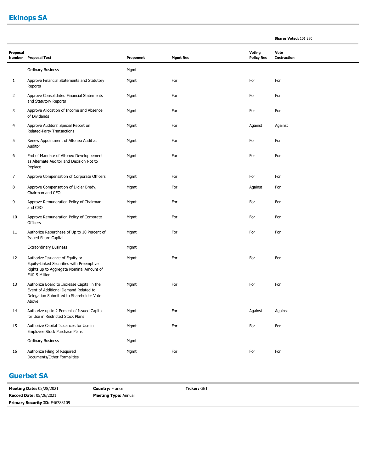# **Ekinops SA**

| <b>Shares Voted: 101,280</b> |  |  |
|------------------------------|--|--|
|------------------------------|--|--|

| Proposal<br><b>Number</b> | <b>Proposal Text</b>                                                                                                                     | Proponent | <b>Mgmt Rec</b> | <b>Voting</b><br><b>Policy Rec</b> | Vote<br><b>Instruction</b> |  |
|---------------------------|------------------------------------------------------------------------------------------------------------------------------------------|-----------|-----------------|------------------------------------|----------------------------|--|
|                           | <b>Ordinary Business</b>                                                                                                                 | Mgmt      |                 |                                    |                            |  |
| 1                         | Approve Financial Statements and Statutory<br>Reports                                                                                    | Mgmt      | For             | For                                | For                        |  |
| 2                         | Approve Consolidated Financial Statements<br>and Statutory Reports                                                                       | Mgmt      | For             | For                                | For                        |  |
| 3                         | Approve Allocation of Income and Absence<br>of Dividends                                                                                 | Mgmt      | For             | For                                | For                        |  |
| 4                         | Approve Auditors' Special Report on<br>Related-Party Transactions                                                                        | Mgmt      | For             | Against                            | Against                    |  |
| 5                         | Renew Appointment of Altoneo Audit as<br>Auditor                                                                                         | Mgmt      | For             | For                                | For                        |  |
| 6                         | End of Mandate of Altoneo Developpement<br>as Alternate Auditor and Decision Not to<br>Replace                                           | Mgmt      | For             | For                                | For                        |  |
| 7                         | Approve Compensation of Corporate Officers                                                                                               | Mgmt      | For             | For                                | For                        |  |
| 8                         | Approve Compensation of Didier Bredy,<br>Chairman and CEO                                                                                | Mgmt      | For             | Against                            | For                        |  |
| 9                         | Approve Remuneration Policy of Chairman<br>and CEO                                                                                       | Mgmt      | For             | For                                | For                        |  |
| 10                        | Approve Remuneration Policy of Corporate<br>Officers                                                                                     | Mgmt      | For             | For                                | For                        |  |
| 11                        | Authorize Repurchase of Up to 10 Percent of<br><b>Issued Share Capital</b>                                                               | Mgmt      | For             | For                                | For                        |  |
|                           | <b>Extraordinary Business</b>                                                                                                            | Mgmt      |                 |                                    |                            |  |
| 12                        | Authorize Issuance of Equity or<br>Equity-Linked Securities with Preemptive<br>Rights up to Aggregate Nominal Amount of<br>EUR 5 Million | Mgmt      | For             | For                                | For                        |  |
| 13                        | Authorize Board to Increase Capital in the<br>Event of Additional Demand Related to<br>Delegation Submitted to Shareholder Vote<br>Above | Mgmt      | For             | For                                | For                        |  |
| 14                        | Authorize up to 2 Percent of Issued Capital<br>for Use in Restricted Stock Plans                                                         | Mgmt      | For             | Against                            | Against                    |  |
| 15                        | Authorize Capital Issuances for Use in<br>Employee Stock Purchase Plans                                                                  | Mgmt      | For             | For                                | For                        |  |
|                           | <b>Ordinary Business</b>                                                                                                                 | Mgmt      |                 |                                    |                            |  |
| 16                        | Authorize Filing of Required<br>Documents/Other Formalities                                                                              | Mgmt      | For             | For                                | For                        |  |

#### **Guerbet SA**

**Meeting Date:** 05/28/2021 **Record Date:** 05/26/2021 **Country:** France **Meeting Type:** Annual **Ticker:** GBT **Primary Security ID: F46788109**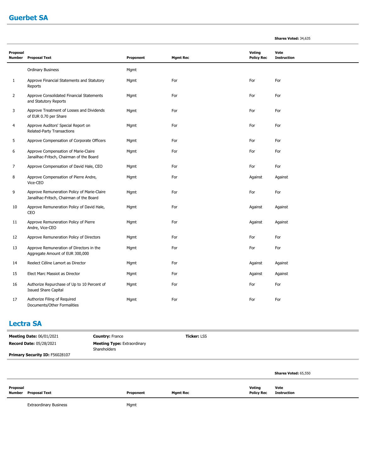#### **Guerbet SA**

|                    |                                                                                         |           |                 |                                    | Shares Voted: 34,635       |
|--------------------|-----------------------------------------------------------------------------------------|-----------|-----------------|------------------------------------|----------------------------|
| Proposal<br>Number | <b>Proposal Text</b>                                                                    | Proponent | <b>Mgmt Rec</b> | <b>Voting</b><br><b>Policy Rec</b> | Vote<br><b>Instruction</b> |
|                    | <b>Ordinary Business</b>                                                                | Mgmt      |                 |                                    |                            |
| 1                  | Approve Financial Statements and Statutory<br>Reports                                   | Mgmt      | For             | For                                | For                        |
| $\overline{2}$     | Approve Consolidated Financial Statements<br>and Statutory Reports                      | Mgmt      | For             | For                                | For                        |
| 3                  | Approve Treatment of Losses and Dividends<br>of EUR 0.70 per Share                      | Mgmt      | For             | For                                | For                        |
| 4                  | Approve Auditors' Special Report on<br>Related-Party Transactions                       | Mgmt      | For             | For                                | For                        |
| 5                  | Approve Compensation of Corporate Officers                                              | Mgmt      | For             | For                                | For                        |
| 6                  | Approve Compensation of Marie-Claire<br>Janailhac-Fritsch, Chairman of the Board        | Mgmt      | For             | For                                | For                        |
| 7                  | Approve Compensation of David Hale, CEO                                                 | Mgmt      | For             | For                                | For                        |
| 8                  | Approve Compensation of Pierre Andre,<br>Vice-CEO                                       | Mgmt      | For             | Against                            | Against                    |
| 9                  | Approve Remuneration Policy of Marie-Claire<br>Janailhac-Fritsch, Chairman of the Board | Mgmt      | For             | For                                | For                        |
| 10                 | Approve Remuneration Policy of David Hale,<br>CEO                                       | Mgmt      | For             | Against                            | Against                    |
| 11                 | Approve Remuneration Policy of Pierre<br>Andre, Vice-CEO                                | Mgmt      | For             | Against                            | Against                    |
| 12                 | Approve Remuneration Policy of Directors                                                | Mgmt      | For             | For                                | For                        |
| 13                 | Approve Remuneration of Directors in the<br>Aggregate Amount of EUR 300,000             | Mgmt      | For             | For                                | For                        |
| 14                 | Reelect Céline Lamort as Director                                                       | Mgmt      | For             | Against                            | Against                    |
| 15                 | Elect Marc Massiot as Director                                                          | Mgmt      | For             | Against                            | Against                    |
| 16                 | Authorize Repurchase of Up to 10 Percent of<br><b>Issued Share Capital</b>              | Mgmt      | For             | For                                | For                        |
| 17                 | Authorize Filing of Required<br>Documents/Other Formalities                             | Mgmt      | For             | For                                | For                        |

#### **Lectra SA**

**Proposal** 

| <b>Meeting Date: 06/01/2021</b> | <b>Country: France</b>                             | <b>Ticker: LSS</b> |                      |
|---------------------------------|----------------------------------------------------|--------------------|----------------------|
| <b>Record Date: 05/28/2021</b>  | <b>Meeting Type: Extraordinary</b><br>Shareholders |                    |                      |
| Primary Security ID: F56028107  |                                                    |                    |                      |
|                                 |                                                    |                    |                      |
|                                 |                                                    |                    | Shares Voted: 65,550 |

**Voting Policy Rec** **Vote Instruction**

Extraordinary Business **Mgmt** 

**Number Proposal Text Proponent Mgmt Rec**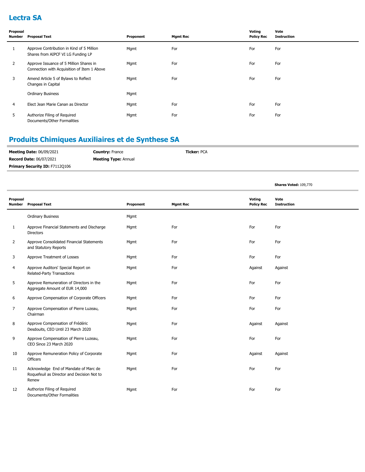### **Lectra SA**

| Proposal<br>Number | <b>Proposal Text</b>                                                                   | Proponent | <b>Mgmt Rec</b> | Voting<br><b>Policy Rec</b> | Vote<br><b>Instruction</b> |
|--------------------|----------------------------------------------------------------------------------------|-----------|-----------------|-----------------------------|----------------------------|
| 1                  | Approve Contribution in Kind of 5 Million<br>Shares from AIPCF VI LG Funding LP        | Mgmt      | For             | For                         | For                        |
| 2                  | Approve Issuance of 5 Million Shares in<br>Connection with Acquisition of Item 1 Above | Mgmt      | For             | For                         | For                        |
| 3                  | Amend Article 5 of Bylaws to Reflect<br>Changes in Capital                             | Mgmt      | For             | For                         | For                        |
|                    | <b>Ordinary Business</b>                                                               | Mgmt      |                 |                             |                            |
| 4                  | Elect Jean Marie Canan as Director                                                     | Mgmt      | For             | For                         | For                        |
| 5                  | Authorize Filing of Required<br>Documents/Other Formalities                            | Mgmt      | For             | For                         | For                        |

# **Produits Chimiques Auxiliaires et de Synthese SA**

| <b>Meeting Date: 06/09/2021</b>       | <b>Country: France</b>      | <b>Ticker: PCA</b> |
|---------------------------------------|-----------------------------|--------------------|
| <b>Record Date: 06/07/2021</b>        | <b>Meeting Type: Annual</b> |                    |
| <b>Primary Security ID: F71120106</b> |                             |                    |

**Shares Voted:** 109,770

| Proposal<br><b>Number</b> | <b>Proposal Text</b>                                                                         | Proponent | <b>Mgmt Rec</b> | Voting<br><b>Policy Rec</b> | Vote<br><b>Instruction</b> |
|---------------------------|----------------------------------------------------------------------------------------------|-----------|-----------------|-----------------------------|----------------------------|
|                           | <b>Ordinary Business</b>                                                                     | Mgmt      |                 |                             |                            |
| $\mathbf{1}$              | Approve Financial Statements and Discharge<br><b>Directors</b>                               | Mgmt      | For             | For                         | For                        |
| 2                         | Approve Consolidated Financial Statements<br>and Statutory Reports                           | Mgmt      | For             | For                         | For                        |
| 3                         | Approve Treatment of Losses                                                                  | Mgmt      | For             | For                         | For                        |
| 4                         | Approve Auditors' Special Report on<br>Related-Party Transactions                            | Mgmt      | For             | Against                     | Against                    |
| 5                         | Approve Remuneration of Directors in the<br>Aggregate Amount of EUR 14,000                   | Mgmt      | For             | For                         | For                        |
| 6                         | Approve Compensation of Corporate Officers                                                   | Mgmt      | For             | For                         | For                        |
| 7                         | Approve Compensation of Pierre Luzeau,<br>Chairman                                           | Mgmt      | For             | For                         | For                        |
| 8                         | Approve Compensation of Frédéric<br>Desdouits, CEO Until 23 March 2020                       | Mgmt      | For             | Against                     | Against                    |
| 9                         | Approve Compensation of Pierre Luzeau,<br>CEO Since 23 March 2020                            | Mgmt      | For             | For                         | For                        |
| 10                        | Approve Remuneration Policy of Corporate<br>Officers                                         | Mgmt      | For             | Against                     | Against                    |
| 11                        | Acknowledge End of Mandate of Marc de<br>Roquefeuil as Director and Decision Not to<br>Renew | Mgmt      | For             | For                         | For                        |
| 12                        | Authorize Filing of Required<br>Documents/Other Formalities                                  | Mgmt      | For             | For                         | For                        |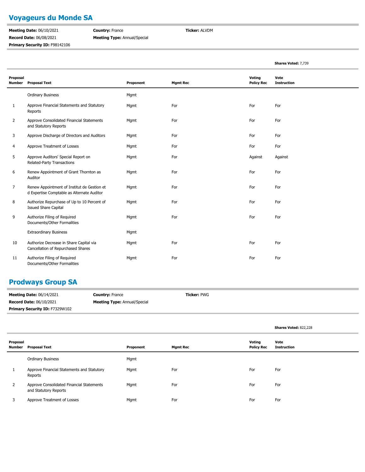# **Voyageurs du Monde SA**

**Meeting Date:** 06/10/2021 **Record Date:** 06/08/2021 **Primary Security ID: F98142106**  **Country:** France **Meeting Type:** Annual/Special **Ticker:** ALVDM

|                           |                                                                                           |           |                 |                             | Shares Voted: 7,739        |
|---------------------------|-------------------------------------------------------------------------------------------|-----------|-----------------|-----------------------------|----------------------------|
| Proposal<br><b>Number</b> | <b>Proposal Text</b>                                                                      | Proponent | <b>Mgmt Rec</b> | Voting<br><b>Policy Rec</b> | Vote<br><b>Instruction</b> |
|                           | <b>Ordinary Business</b>                                                                  | Mgmt      |                 |                             |                            |
| 1                         | Approve Financial Statements and Statutory<br>Reports                                     | Mgmt      | For             | For                         | For                        |
| 2                         | Approve Consolidated Financial Statements<br>and Statutory Reports                        | Mgmt      | For             | For                         | For                        |
| 3                         | Approve Discharge of Directors and Auditors                                               | Mgmt      | For             | For                         | For                        |
| 4                         | Approve Treatment of Losses                                                               | Mgmt      | For             | For                         | For                        |
| 5                         | Approve Auditors' Special Report on<br>Related-Party Transactions                         | Mgmt      | For             | Against                     | Against                    |
| 6                         | Renew Appointment of Grant Thornton as<br>Auditor                                         | Mgmt      | For             | For                         | For                        |
| $\overline{7}$            | Renew Appointment of Institut de Gestion et<br>d Expertise Comptable as Alternate Auditor | Mgmt      | For             | For                         | For                        |
| 8                         | Authorize Repurchase of Up to 10 Percent of<br><b>Issued Share Capital</b>                | Mgmt      | For             | For                         | For                        |
| 9                         | Authorize Filing of Required<br>Documents/Other Formalities                               | Mgmt      | For             | For                         | For                        |
|                           | <b>Extraordinary Business</b>                                                             | Mgmt      |                 |                             |                            |
| 10                        | Authorize Decrease in Share Capital via<br>Cancellation of Repurchased Shares             | Mgmt      | For             | For                         | For                        |
| 11                        | Authorize Filing of Required<br>Documents/Other Formalities                               | Mgmt      | For             | For                         | For                        |

### **Prodways Group SA**

| <b>Meeting Date: 06/14/2021</b> | <b>Country: France</b>              | <b>Ticker: PWG</b> |
|---------------------------------|-------------------------------------|--------------------|
| <b>Record Date: 06/10/2021</b>  | <b>Meeting Type: Annual/Special</b> |                    |
| Primary Security ID: F7329W102  |                                     |                    |

|                    |                                                                    |           |                 |                             | Shares Voted: 822,228      |
|--------------------|--------------------------------------------------------------------|-----------|-----------------|-----------------------------|----------------------------|
| Proposal<br>Number | <b>Proposal Text</b>                                               | Proponent | <b>Mgmt Rec</b> | Voting<br><b>Policy Rec</b> | Vote<br><b>Instruction</b> |
|                    | <b>Ordinary Business</b>                                           | Mgmt      |                 |                             |                            |
|                    | Approve Financial Statements and Statutory<br>Reports              | Mgmt      | For             | For                         | For                        |
| $\overline{2}$     | Approve Consolidated Financial Statements<br>and Statutory Reports | Mgmt      | For             | For                         | For                        |
| 3                  | Approve Treatment of Losses                                        | Mgmt      | For             | For                         | For                        |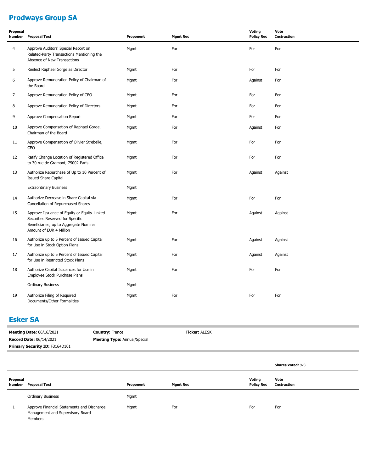# **Prodways Group SA**

| Proposal<br><b>Number</b> | <b>Proposal Text</b>                                                                                                                                 | Proponent | <b>Mgmt Rec</b> | Voting<br><b>Policy Rec</b> | Vote<br><b>Instruction</b> |
|---------------------------|------------------------------------------------------------------------------------------------------------------------------------------------------|-----------|-----------------|-----------------------------|----------------------------|
| $\overline{4}$            | Approve Auditors' Special Report on<br>Related-Party Transactions Mentioning the<br>Absence of New Transactions                                      | Mgmt      | For             | For                         | For                        |
| 5                         | Reelect Raphael Gorge as Director                                                                                                                    | Mgmt      | For             | For                         | For                        |
| 6                         | Approve Remuneration Policy of Chairman of<br>the Board                                                                                              | Mgmt      | For             | Against                     | For                        |
| $\overline{7}$            | Approve Remuneration Policy of CEO                                                                                                                   | Mgmt      | For             | For                         | For                        |
| 8                         | Approve Remuneration Policy of Directors                                                                                                             | Mgmt      | For             | For                         | For                        |
| 9                         | Approve Compensation Report                                                                                                                          | Mgmt      | For             | For                         | For                        |
| 10                        | Approve Compensation of Raphael Gorge,<br>Chairman of the Board                                                                                      | Mgmt      | For             | Against                     | For                        |
| 11                        | Approve Compensation of Olivier Strebelle,<br>CEO                                                                                                    | Mgmt      | For             | For                         | For                        |
| 12                        | Ratify Change Location of Registered Office<br>to 30 rue de Gramont, 75002 Paris                                                                     | Mgmt      | For             | For                         | For                        |
| 13                        | Authorize Repurchase of Up to 10 Percent of<br><b>Issued Share Capital</b>                                                                           | Mgmt      | For             | Against                     | Against                    |
|                           | <b>Extraordinary Business</b>                                                                                                                        | Mgmt      |                 |                             |                            |
| 14                        | Authorize Decrease in Share Capital via<br>Cancellation of Repurchased Shares                                                                        | Mgmt      | For             | For                         | For                        |
| 15                        | Approve Issuance of Equity or Equity-Linked<br>Securities Reserved for Specific<br>Beneficiaries, up to Aggregate Nominal<br>Amount of EUR 4 Million | Mgmt      | For             | Against                     | Against                    |
| 16                        | Authorize up to 5 Percent of Issued Capital<br>for Use in Stock Option Plans                                                                         | Mgmt      | For             | Against                     | Against                    |
| 17                        | Authorize up to 5 Percent of Issued Capital<br>for Use in Restricted Stock Plans                                                                     | Mgmt      | For             | Against                     | Against                    |
| 18                        | Authorize Capital Issuances for Use in<br>Employee Stock Purchase Plans                                                                              | Mgmt      | For             | For                         | For                        |
|                           | <b>Ordinary Business</b>                                                                                                                             | Mgmt      |                 |                             |                            |
| 19                        | Authorize Filing of Required<br>Documents/Other Formalities                                                                                          | Mgmt      | For             | For                         | For                        |

# **Esker SA**

| <b>Meeting Date: 06/16/2021</b> | <b>Country: France</b>              | <b>Ticker: ALESK</b> |
|---------------------------------|-------------------------------------|----------------------|
| <b>Record Date: 06/14/2021</b>  | <b>Meeting Type: Annual/Special</b> |                      |
| Primary Security ID: F3164D101  |                                     |                      |
|                                 |                                     |                      |

|                    |                                                                                           |           |                 |                             | <b>Shares Voted: 973</b>   |
|--------------------|-------------------------------------------------------------------------------------------|-----------|-----------------|-----------------------------|----------------------------|
| Proposal<br>Number | <b>Proposal Text</b>                                                                      | Proponent | <b>Mgmt Rec</b> | Voting<br><b>Policy Rec</b> | Vote<br><b>Instruction</b> |
|                    | <b>Ordinary Business</b>                                                                  | Mgmt      |                 |                             |                            |
|                    | Approve Financial Statements and Discharge<br>Management and Supervisory Board<br>Members | Mgmt      | For             | For                         | For                        |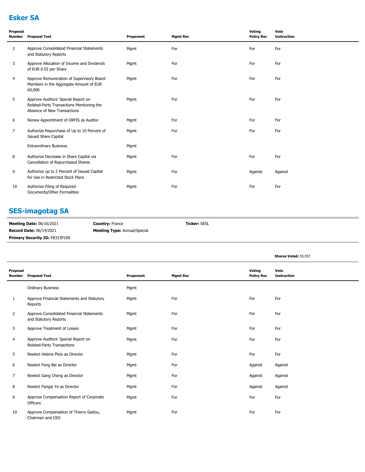# **Esker SA**

| Proposal<br>Number | <b>Proposal Text</b>                                                                                            | Proponent | <b>Mgmt Rec</b> | Voting<br><b>Policy Rec</b> | Vote<br><b>Instruction</b> |
|--------------------|-----------------------------------------------------------------------------------------------------------------|-----------|-----------------|-----------------------------|----------------------------|
| $\overline{2}$     | Approve Consolidated Financial Statements<br>and Statutory Reports                                              | Mgmt      | For             | For                         | For                        |
| 3                  | Approve Allocation of Income and Dividends<br>of EUR 0.55 per Share                                             | Mgmt      | For             | For                         | For                        |
| 4                  | Approve Remuneration of Supervisory Board<br>Members in the Aggregate Amount of EUR<br>60,000                   | Mgmt      | For             | For                         | For                        |
| 5                  | Approve Auditors' Special Report on<br>Related-Party Transactions Mentioning the<br>Absence of New Transactions | Mgmt      | For             | For                         | For                        |
| 6                  | Renew Appointment of ORFIS as Auditor                                                                           | Mgmt      | For             | For                         | For                        |
| $\overline{7}$     | Authorize Repurchase of Up to 10 Percent of<br><b>Issued Share Capital</b>                                      | Mgmt      | For             | For                         | For                        |
|                    | <b>Extraordinary Business</b>                                                                                   | Mgmt      |                 |                             |                            |
| 8                  | Authorize Decrease in Share Capital via<br>Cancellation of Repurchased Shares                                   | Mgmt      | For             | For                         | For                        |
| 9                  | Authorize up to 2 Percent of Issued Capital<br>for Use in Restricted Stock Plans                                | Mgmt      | For             | Against                     | Against                    |
| 10                 | Authorize Filing of Required<br>Documents/Other Formalities                                                     | Mgmt      | For             | For                         | For                        |

# **SES-imagotag SA**

| <b>Meeting Date: 06/16/2021</b>       | <b>Country: France</b>              | <b>Ticker: SESL</b> |
|---------------------------------------|-------------------------------------|---------------------|
| <b>Record Date: 06/14/2021</b>        | <b>Meeting Type:</b> Annual/Special |                     |
| <b>Primary Security ID: F8333P109</b> |                                     |                     |

|                           |                                                                    |           |                 |                             | Shares Voted: 55,957       |
|---------------------------|--------------------------------------------------------------------|-----------|-----------------|-----------------------------|----------------------------|
| Proposal<br><b>Number</b> | <b>Proposal Text</b>                                               | Proponent | <b>Mgmt Rec</b> | Voting<br><b>Policy Rec</b> | Vote<br><b>Instruction</b> |
|                           | <b>Ordinary Business</b>                                           | Mgmt      |                 |                             |                            |
| 1                         | Approve Financial Statements and Statutory<br>Reports              | Mgmt      | For             | For                         | For                        |
| $\overline{2}$            | Approve Consolidated Financial Statements<br>and Statutory Reports | Mgmt      | For             | For                         | For                        |
| 3                         | Approve Treatment of Losses                                        | Mgmt      | For             | For                         | For                        |
| 4                         | Approve Auditors' Special Report on<br>Related-Party Transactions  | Mgmt      | For             | For                         | For                        |
| 5                         | Reelect Helene Ploix as Director                                   | Mgmt      | For             | For                         | For                        |
| 6                         | Reelect Feng Bai as Director                                       | Mgmt      | For             | Against                     | Against                    |
| 7                         | Reelect Gang Cheng as Director                                     | Mgmt      | For             | Against                     | Against                    |
| 8                         | Reelect Fangqi Ye as Director                                      | Mgmt      | For             | Against                     | Against                    |
| 9                         | Approve Compensation Report of Corporate<br>Officers               | Mgmt      | For             | For                         | For                        |
| 10                        | Approve Compensation of Thierry Gadou,<br>Chairman and CEO         | Mgmt      | For             | For                         | For                        |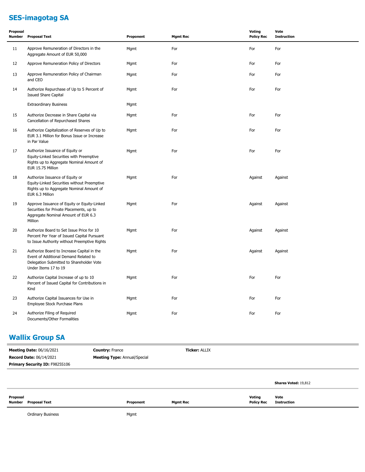# **SES-imagotag SA**

| Proposal<br><b>Number</b> | <b>Proposal Text</b>                                                                                                                                    | Proponent | <b>Mgmt Rec</b> | <b>Voting</b><br><b>Policy Rec</b> | Vote<br><b>Instruction</b> |
|---------------------------|---------------------------------------------------------------------------------------------------------------------------------------------------------|-----------|-----------------|------------------------------------|----------------------------|
| 11                        | Approve Remuneration of Directors in the<br>Aggregate Amount of EUR 50,000                                                                              | Mgmt      | For             | For                                | For                        |
| 12                        | Approve Remuneration Policy of Directors                                                                                                                | Mgmt      | For             | For                                | For                        |
| 13                        | Approve Remuneration Policy of Chairman<br>and CEO                                                                                                      | Mgmt      | For             | For                                | For                        |
| 14                        | Authorize Repurchase of Up to 5 Percent of<br><b>Issued Share Capital</b>                                                                               | Mgmt      | For             | For                                | For                        |
|                           | <b>Extraordinary Business</b>                                                                                                                           | Mgmt      |                 |                                    |                            |
| 15                        | Authorize Decrease in Share Capital via<br>Cancellation of Repurchased Shares                                                                           | Mgmt      | For             | For                                | For                        |
| 16                        | Authorize Capitalization of Reserves of Up to<br>EUR 3.1 Million for Bonus Issue or Increase<br>in Par Value                                            | Mgmt      | For             | For                                | For                        |
| 17                        | Authorize Issuance of Equity or<br>Equity-Linked Securities with Preemptive<br>Rights up to Aggregate Nominal Amount of<br>EUR 15.75 Million            | Mgmt      | For             | For                                | For                        |
| 18                        | Authorize Issuance of Equity or<br>Equity-Linked Securities without Preemptive<br>Rights up to Aggregate Nominal Amount of<br>EUR 6.3 Million           | Mgmt      | For             | Against                            | Against                    |
| 19                        | Approve Issuance of Equity or Equity-Linked<br>Securities for Private Placements, up to<br>Aggregate Nominal Amount of EUR 6.3<br>Million               | Mgmt      | For             | Against                            | Against                    |
| 20                        | Authorize Board to Set Issue Price for 10<br>Percent Per Year of Issued Capital Pursuant<br>to Issue Authority without Preemptive Rights                | Mgmt      | For             | Against                            | Against                    |
| 21                        | Authorize Board to Increase Capital in the<br>Event of Additional Demand Related to<br>Delegation Submitted to Shareholder Vote<br>Under Items 17 to 19 | Mgmt      | For             | Against                            | Against                    |
| 22                        | Authorize Capital Increase of up to 10<br>Percent of Issued Capital for Contributions in<br>Kind                                                        | Mgmt      | For             | For                                | For                        |
| 23                        | Authorize Capital Issuances for Use in<br>Employee Stock Purchase Plans                                                                                 | Mgmt      | For             | For                                | For                        |
| 24                        | Authorize Filing of Required<br>Documents/Other Formalities                                                                                             | Mgmt      | For             | For                                | For                        |

### **Wallix Group SA**

| <b>Meeting Date: 06/16/2021</b> | <b>Country: France</b>              | <b>Ticker: ALLIX</b> |                             |
|---------------------------------|-------------------------------------|----------------------|-----------------------------|
| <b>Record Date: 06/14/2021</b>  | <b>Meeting Type: Annual/Special</b> |                      |                             |
| Primary Security ID: F9825S106  |                                     |                      |                             |
|                                 |                                     |                      |                             |
|                                 |                                     |                      | <b>Shares Voted: 19,812</b> |

| Proposal                |           |                 | Voting            | Vote<br>.   |
|-------------------------|-----------|-----------------|-------------------|-------------|
| Number<br>Proposal Text | Proponent | <b>Mgmt Rec</b> | <b>Policy Rec</b> | Instruction |
|                         |           |                 |                   |             |

Ordinary Business **Mgmt**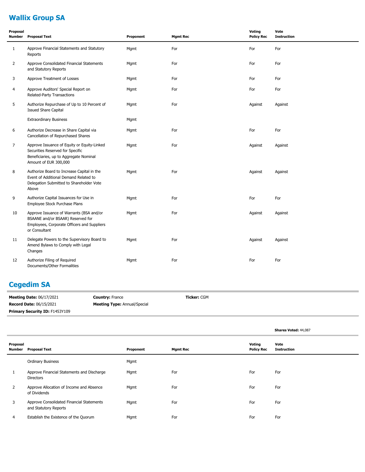# **Wallix Group SA**

| Proposal<br>Number | <b>Proposal Text</b>                                                                                                                               | Proponent | <b>Mgmt Rec</b> | Voting<br><b>Policy Rec</b> | Vote<br><b>Instruction</b> |
|--------------------|----------------------------------------------------------------------------------------------------------------------------------------------------|-----------|-----------------|-----------------------------|----------------------------|
| 1                  | Approve Financial Statements and Statutory<br>Reports                                                                                              | Mgmt      | For             | For                         | For                        |
| $\overline{2}$     | Approve Consolidated Financial Statements<br>and Statutory Reports                                                                                 | Mgmt      | For             | For                         | For                        |
| 3                  | Approve Treatment of Losses                                                                                                                        | Mgmt      | For             | For                         | For                        |
| 4                  | Approve Auditors' Special Report on<br>Related-Party Transactions                                                                                  | Mgmt      | For             | For                         | For                        |
| 5                  | Authorize Repurchase of Up to 10 Percent of<br><b>Issued Share Capital</b>                                                                         | Mgmt      | For             | Against                     | Against                    |
|                    | <b>Extraordinary Business</b>                                                                                                                      | Mgmt      |                 |                             |                            |
| 6                  | Authorize Decrease in Share Capital via<br>Cancellation of Repurchased Shares                                                                      | Mgmt      | For             | For                         | For                        |
| $\overline{7}$     | Approve Issuance of Equity or Equity-Linked<br>Securities Reserved for Specific<br>Beneficiaries, up to Aggregate Nominal<br>Amount of EUR 300,000 | Mgmt      | For             | Against                     | Against                    |
| 8                  | Authorize Board to Increase Capital in the<br>Event of Additional Demand Related to<br>Delegation Submitted to Shareholder Vote<br>Above           | Mgmt      | For             | Against                     | Against                    |
| 9                  | Authorize Capital Issuances for Use in<br>Employee Stock Purchase Plans                                                                            | Mgmt      | For             | For                         | For                        |
| 10                 | Approve Issuance of Warrants (BSA and/or<br>BSAANE and/or BSAAR) Reserved for<br>Employees, Corporate Officers and Suppliers<br>or Consultant      | Mgmt      | For             | Against                     | Against                    |
| 11                 | Delegate Powers to the Supervisory Board to<br>Amend Bylaws to Comply with Legal<br>Changes                                                        | Mgmt      | For             | Against                     | Against                    |
| 12                 | Authorize Filing of Required<br>Documents/Other Formalities                                                                                        | Mgmt      | For             | For                         | For                        |

## **Cegedim SA**

| <b>Meeting Date: 06/17/2021</b>       | <b>Country: France</b>              | <b>Ticker: CGM</b> |
|---------------------------------------|-------------------------------------|--------------------|
| <b>Record Date: 06/15/2021</b>        | <b>Meeting Type: Annual/Special</b> |                    |
| <b>Primary Security ID: F1453Y109</b> |                                     |                    |

|                    |                                                                    |           |                 |                             | Shares Voted: 44,087       |
|--------------------|--------------------------------------------------------------------|-----------|-----------------|-----------------------------|----------------------------|
| Proposal<br>Number | Proposal Text                                                      | Proponent | <b>Mgmt Rec</b> | Voting<br><b>Policy Rec</b> | Vote<br><b>Instruction</b> |
|                    | <b>Ordinary Business</b>                                           | Mgmt      |                 |                             |                            |
|                    | Approve Financial Statements and Discharge<br><b>Directors</b>     | Mgmt      | For             | For                         | For                        |
| 2                  | Approve Allocation of Income and Absence<br>of Dividends           | Mgmt      | For             | For                         | For                        |
| 3                  | Approve Consolidated Financial Statements<br>and Statutory Reports | Mgmt      | For             | For                         | For                        |
| 4                  | Establish the Existence of the Quorum                              | Mgmt      | For             | For                         | For                        |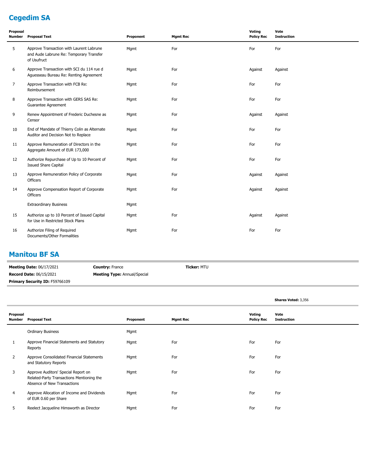# **Cegedim SA**

| Proposal<br><b>Number</b> | <b>Proposal Text</b>                                                                               | Proponent | <b>Mgmt Rec</b> | Voting<br><b>Policy Rec</b> | Vote<br><b>Instruction</b> |
|---------------------------|----------------------------------------------------------------------------------------------------|-----------|-----------------|-----------------------------|----------------------------|
| 5                         | Approve Transaction with Laurent Labrune<br>and Aude Labrune Re: Temporary Transfer<br>of Usufruct | Mgmt      | For             | For                         | For                        |
| 6                         | Approve Transaction with SCI du 114 rue d<br>Aguesseau Bureau Re: Renting Agreement                | Mgmt      | For             | Against                     | Against                    |
| $\overline{7}$            | Approve Transaction with FCB Re:<br>Reimbursement                                                  | Mgmt      | For             | For                         | For                        |
| 8                         | Approve Transaction with GERS SAS Re:<br>Guarantee Agreement                                       | Mgmt      | For             | For                         | For                        |
| 9                         | Renew Appointment of Frederic Duchesne as<br>Censor                                                | Mgmt      | For             | Against                     | Against                    |
| 10                        | End of Mandate of Thierry Colin as Alternate<br>Auditor and Decision Not to Replace                | Mgmt      | For             | For                         | For                        |
| 11                        | Approve Remuneration of Directors in the<br>Aggregate Amount of EUR 173,000                        | Mgmt      | For             | For                         | For                        |
| 12                        | Authorize Repurchase of Up to 10 Percent of<br><b>Issued Share Capital</b>                         | Mgmt      | For             | For                         | For                        |
| 13                        | Approve Remuneration Policy of Corporate<br>Officers                                               | Mgmt      | For             | Against                     | Against                    |
| 14                        | Approve Compensation Report of Corporate<br>Officers                                               | Mgmt      | For             | Against                     | Against                    |
|                           | <b>Extraordinary Business</b>                                                                      | Mgmt      |                 |                             |                            |
| 15                        | Authorize up to 10 Percent of Issued Capital<br>for Use in Restricted Stock Plans                  | Mgmt      | For             | Against                     | Against                    |
| 16                        | Authorize Filing of Required<br>Documents/Other Formalities                                        | Mgmt      | For             | For                         | For                        |

#### **Manitou BF SA**

| <b>Meeting Date: 06/17/2021</b> | <b>Country: France</b>              | <b>Ticker: MTU</b> |
|---------------------------------|-------------------------------------|--------------------|
| <b>Record Date: 06/15/2021</b>  | <b>Meeting Type:</b> Annual/Special |                    |
| Primary Security ID: F59766109  |                                     |                    |

|                    |                                                                                                                 |           |                 |                             | Shares Voted: 3,356        |
|--------------------|-----------------------------------------------------------------------------------------------------------------|-----------|-----------------|-----------------------------|----------------------------|
| Proposal<br>Number | <b>Proposal Text</b>                                                                                            | Proponent | <b>Mgmt Rec</b> | Voting<br><b>Policy Rec</b> | Vote<br><b>Instruction</b> |
|                    | <b>Ordinary Business</b>                                                                                        | Mgmt      |                 |                             |                            |
|                    | Approve Financial Statements and Statutory<br>Reports                                                           | Mgmt      | For             | For                         | For                        |
| $\overline{2}$     | Approve Consolidated Financial Statements<br>and Statutory Reports                                              | Mgmt      | For             | For                         | For                        |
| 3                  | Approve Auditors' Special Report on<br>Related-Party Transactions Mentioning the<br>Absence of New Transactions | Mgmt      | For             | For                         | For                        |
| 4                  | Approve Allocation of Income and Dividends<br>of EUR 0.60 per Share                                             | Mgmt      | For             | For                         | For                        |
| 5                  | Reelect Jacqueline Himsworth as Director                                                                        | Mgmt      | For             | For                         | For                        |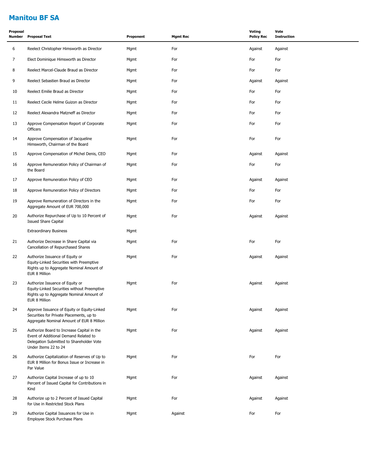# **Manitou BF SA**

| Proposal<br>Number | <b>Proposal Text</b>                                                                                                                                    | Proponent | <b>Mgmt Rec</b> | Voting<br><b>Policy Rec</b> | Vote<br><b>Instruction</b> |
|--------------------|---------------------------------------------------------------------------------------------------------------------------------------------------------|-----------|-----------------|-----------------------------|----------------------------|
| 6                  | Reelect Christopher Himsworth as Director                                                                                                               | Mgmt      | For             | Against                     | Against                    |
| $\overline{7}$     | Elect Dominique Himsworth as Director                                                                                                                   | Mgmt      | For             | For                         | For                        |
| 8                  | Reelect Marcel-Claude Braud as Director                                                                                                                 | Mgmt      | For             | For                         | For                        |
| 9                  | Reelect Sebastien Braud as Director                                                                                                                     | Mgmt      | For             | Against                     | Against                    |
| 10                 | Reelect Emilie Braud as Director                                                                                                                        | Mgmt      | For             | For                         | For                        |
| 11                 | Reelect Cecile Helme Guizon as Director                                                                                                                 | Mgmt      | For             | For                         | For                        |
| 12                 | Reelect Alexandra Matzneff as Director                                                                                                                  | Mgmt      | For             | For                         | For                        |
| 13                 | Approve Compensation Report of Corporate<br>Officers                                                                                                    | Mgmt      | For             | For                         | For                        |
| 14                 | Approve Compensation of Jacqueline<br>Himsworth, Chairman of the Board                                                                                  | Mgmt      | For             | For                         | For                        |
| 15                 | Approve Compensation of Michel Denis, CEO                                                                                                               | Mgmt      | For             | Against                     | Against                    |
| 16                 | Approve Remuneration Policy of Chairman of<br>the Board                                                                                                 | Mgmt      | For             | For                         | For                        |
| 17                 | Approve Remuneration Policy of CEO                                                                                                                      | Mgmt      | For             | Against                     | Against                    |
| 18                 | Approve Remuneration Policy of Directors                                                                                                                | Mgmt      | For             | For                         | For                        |
| 19                 | Approve Remuneration of Directors in the<br>Aggregate Amount of EUR 700,000                                                                             | Mgmt      | For             | For                         | For                        |
| 20                 | Authorize Repurchase of Up to 10 Percent of<br><b>Issued Share Capital</b>                                                                              | Mgmt      | For             | Against                     | Against                    |
|                    | <b>Extraordinary Business</b>                                                                                                                           | Mgmt      |                 |                             |                            |
| 21                 | Authorize Decrease in Share Capital via<br>Cancellation of Repurchased Shares                                                                           | Mgmt      | For             | For                         | For                        |
| 22                 | Authorize Issuance of Equity or<br>Equity-Linked Securities with Preemptive<br>Rights up to Aggregate Nominal Amount of<br>EUR 8 Million                | Mgmt      | For             | Against                     | Against                    |
| 23                 | Authorize Issuance of Equity or<br>Equity-Linked Securities without Preemptive<br>Rights up to Aggregate Nominal Amount of<br>EUR 8 Million             | Mgmt      | For             | Against                     | Against                    |
| 24                 | Approve Issuance of Equity or Equity-Linked<br>Securities for Private Placements, up to<br>Aggregate Nominal Amount of EUR 8 Million                    | Mgmt      | For             | Against                     | Against                    |
| 25                 | Authorize Board to Increase Capital in the<br>Event of Additional Demand Related to<br>Delegation Submitted to Shareholder Vote<br>Under Items 22 to 24 | Mgmt      | For             | Against                     | Against                    |
| 26                 | Authorize Capitalization of Reserves of Up to<br>EUR 8 Million for Bonus Issue or Increase in<br>Par Value                                              | Mgmt      | For             | For                         | For                        |
| 27                 | Authorize Capital Increase of up to 10<br>Percent of Issued Capital for Contributions in<br>Kind                                                        | Mgmt      | For             | Against                     | Against                    |
| 28                 | Authorize up to 2 Percent of Issued Capital<br>for Use in Restricted Stock Plans                                                                        | Mgmt      | For             | Against                     | Against                    |
| 29                 | Authorize Capital Issuances for Use in<br>Employee Stock Purchase Plans                                                                                 | Mgmt      | Against         | For                         | For                        |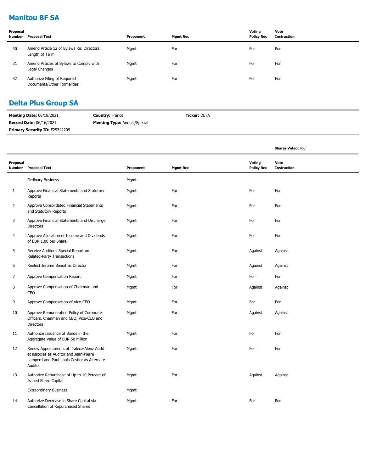# **Manitou BF SA**

| Proposal | Number Proposal Text                                        | Proponent | <b>Mgmt Rec</b> | Votina<br><b>Policy Rec</b> | Vote<br>Instruction |
|----------|-------------------------------------------------------------|-----------|-----------------|-----------------------------|---------------------|
| 30       | Amend Article 12 of Bylaws Re: Directors<br>Length of Term  | Mgmt      | For             | For                         | For                 |
| 31       | Amend Articles of Bylaws to Comply with<br>Legal Changes    | Mgmt      | For             | For                         | For                 |
| 32       | Authorize Filing of Required<br>Documents/Other Formalities | Mgmt      | For             | For                         | For                 |

### **Delta Plus Group SA**

| <b>Meeting Date: 06/18/2021</b>       | <b>Country: France</b>              | <b>Ticker:</b> DLTA |
|---------------------------------------|-------------------------------------|---------------------|
| <b>Record Date: 06/16/2021</b>        | <b>Meeting Type:</b> Annual/Special |                     |
| <b>Primary Security ID: F25342209</b> |                                     |                     |

|                    |                                                                                                                                               |           |                 |                             | <b>Shares Voted: 463</b>   |
|--------------------|-----------------------------------------------------------------------------------------------------------------------------------------------|-----------|-----------------|-----------------------------|----------------------------|
| Proposal<br>Number | <b>Proposal Text</b>                                                                                                                          | Proponent | <b>Mgmt Rec</b> | Voting<br><b>Policy Rec</b> | Vote<br><b>Instruction</b> |
|                    | <b>Ordinary Business</b>                                                                                                                      | Mgmt      |                 |                             |                            |
| $\mathbf{1}$       | Approve Financial Statements and Statutory<br>Reports                                                                                         | Mgmt      | For             | For                         | For                        |
| 2                  | Approve Consolidated Financial Statements<br>and Statutory Reports                                                                            | Mgmt      | For             | For                         | For                        |
| 3                  | Approve Financial Statements and Discharge<br><b>Directors</b>                                                                                | Mgmt      | For             | For                         | For                        |
| 4                  | Approve Allocation of Income and Dividends<br>of EUR 1.00 per Share                                                                           | Mgmt      | For             | For                         | For                        |
| 5                  | Receive Auditors' Special Report on<br>Related-Party Transactions                                                                             | Mgmt      | For             | Against                     | Against                    |
| 6                  | Reelect Jerome Benoit as Director                                                                                                             | Mgmt      | For             | Against                     | Against                    |
| $\overline{7}$     | Approve Compensation Report                                                                                                                   | Mgmt      | For             | For                         | For                        |
| 8                  | Approve Compensation of Chairman and<br>CEO                                                                                                   | Mgmt      | For             | Against                     | Against                    |
| 9                  | Approve Compensation of Vice-CEO                                                                                                              | Mgmt      | For             | For                         | For                        |
| 10                 | Approve Remuneration Policy of Corporate<br>Officers, Chairman and CEO, Vice-CEO and<br><b>Directors</b>                                      | Mgmt      | For             | Against                     | Against                    |
| 11                 | Authorize Issuance of Bonds in the<br>Aggregate Value of EUR 50 Million                                                                       | Mgmt      | For             | For                         | For                        |
| 12                 | Renew Appointments of Talenz-Alenz Audit<br>et associes as Auditor and Jean-Pierre<br>Lamperti and Paul-Louis Cestier as Alternate<br>Auditor | Mgmt      | For             | For                         | For                        |
| 13                 | Authorize Repurchase of Up to 10 Percent of<br><b>Issued Share Capital</b>                                                                    | Mgmt      | For             | Against                     | Against                    |
|                    | <b>Extraordinary Business</b>                                                                                                                 | Mgmt      |                 |                             |                            |
| 14                 | Authorize Decrease in Share Capital via<br>Cancellation of Repurchased Shares                                                                 | Mgmt      | For             | For                         | For                        |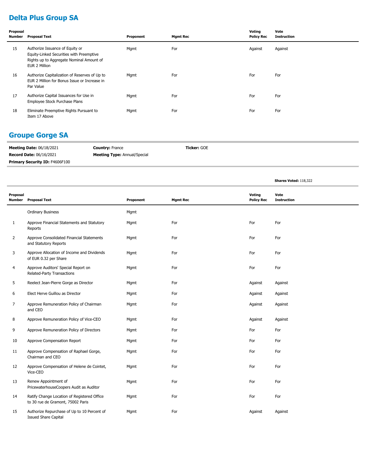# **Delta Plus Group SA**

| Proposal<br>Number | <b>Proposal Text</b>                                                                                                                     | Proponent | <b>Mgmt Rec</b> | Voting<br><b>Policy Rec</b> | Vote<br>Instruction |
|--------------------|------------------------------------------------------------------------------------------------------------------------------------------|-----------|-----------------|-----------------------------|---------------------|
| 15                 | Authorize Issuance of Equity or<br>Equity-Linked Securities with Preemptive<br>Rights up to Aggregate Nominal Amount of<br>EUR 2 Million | Mgmt      | For             | Against                     | Against             |
| 16                 | Authorize Capitalization of Reserves of Up to<br>EUR 2 Million for Bonus Issue or Increase in<br>Par Value                               | Mgmt      | For             | For                         | For                 |
| 17                 | Authorize Capital Issuances for Use in<br>Employee Stock Purchase Plans                                                                  | Mgmt      | For             | For                         | For                 |
| 18                 | Eliminate Preemptive Rights Pursuant to<br>Item 17 Above                                                                                 | Mgmt      | For             | For                         | For                 |

### **Groupe Gorge SA**

| <b>Meeting Date: 06/18/2021</b>       | <b>Country: France</b>              | <b>Ticker: GOE</b> |
|---------------------------------------|-------------------------------------|--------------------|
| <b>Record Date: 06/16/2021</b>        | <b>Meeting Type:</b> Annual/Special |                    |
| <b>Primary Security ID: F4606F100</b> |                                     |                    |

|                           |                                                                                  |           |                 |                             | Shares Voted: 118,322      |
|---------------------------|----------------------------------------------------------------------------------|-----------|-----------------|-----------------------------|----------------------------|
| Proposal<br><b>Number</b> | <b>Proposal Text</b>                                                             | Proponent | <b>Mgmt Rec</b> | Voting<br><b>Policy Rec</b> | Vote<br><b>Instruction</b> |
|                           | <b>Ordinary Business</b>                                                         | Mgmt      |                 |                             |                            |
| $\mathbf{1}$              | Approve Financial Statements and Statutory<br>Reports                            | Mgmt      | For             | For                         | For                        |
| $\overline{2}$            | Approve Consolidated Financial Statements<br>and Statutory Reports               | Mgmt      | For             | For                         | For                        |
| 3                         | Approve Allocation of Income and Dividends<br>of EUR 0.32 per Share              | Mgmt      | For             | For                         | For                        |
| 4                         | Approve Auditors' Special Report on<br>Related-Party Transactions                | Mgmt      | For             | For                         | For                        |
| 5                         | Reelect Jean-Pierre Gorge as Director                                            | Mgmt      | For             | Against                     | Against                    |
| 6                         | Elect Herve Guillou as Director                                                  | Mgmt      | For             | Against                     | Against                    |
| 7                         | Approve Remuneration Policy of Chairman<br>and CEO                               | Mgmt      | For             | Against                     | Against                    |
| 8                         | Approve Remuneration Policy of Vice-CEO                                          | Mgmt      | For             | Against                     | Against                    |
| 9                         | Approve Remuneration Policy of Directors                                         | Mgmt      | For             | For                         | For                        |
| 10                        | Approve Compensation Report                                                      | Mgmt      | For             | For                         | For                        |
| 11                        | Approve Compensation of Raphael Gorge,<br>Chairman and CEO                       | Mgmt      | For             | For                         | For                        |
| 12                        | Approve Compensation of Helene de Cointet,<br>Vice-CEO                           | Mgmt      | For             | For                         | For                        |
| 13                        | Renew Appointment of<br>PricewaterhouseCoopers Audit as Auditor                  | Mgmt      | For             | For                         | For                        |
| 14                        | Ratify Change Location of Registered Office<br>to 30 rue de Gramont, 75002 Paris | Mgmt      | For             | For                         | For                        |
| 15                        | Authorize Repurchase of Up to 10 Percent of<br><b>Issued Share Capital</b>       | Mgmt      | For             | Against                     | Against                    |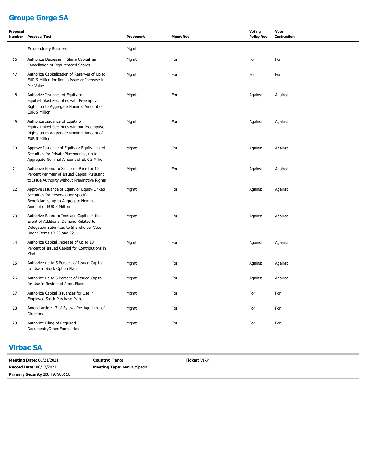# **Groupe Gorge SA**

| Proposal<br><b>Number</b> | <b>Proposal Text</b>                                                                                                                                        | Proponent | <b>Mgmt Rec</b> | Voting<br><b>Policy Rec</b> | Vote<br><b>Instruction</b> |
|---------------------------|-------------------------------------------------------------------------------------------------------------------------------------------------------------|-----------|-----------------|-----------------------------|----------------------------|
|                           | <b>Extraordinary Business</b>                                                                                                                               | Mgmt      |                 |                             |                            |
| 16                        | Authorize Decrease in Share Capital via<br>Cancellation of Repurchased Shares                                                                               | Mgmt      | For             | For                         | For                        |
| 17                        | Authorize Capitalization of Reserves of Up to<br>EUR 5 Million for Bonus Issue or Increase in<br>Par Value                                                  | Mgmt      | For             | For                         | For                        |
| 18                        | Authorize Issuance of Equity or<br>Equity-Linked Securities with Preemptive<br>Rights up to Aggregate Nominal Amount of<br>EUR 5 Million                    | Mgmt      | For             | Against                     | Against                    |
| 19                        | Authorize Issuance of Equity or<br>Equity-Linked Securities without Preemptive<br>Rights up to Aggregate Nominal Amount of<br>EUR 5 Million                 | Mgmt      | For             | Against                     | Against                    |
| 20                        | Approve Issuance of Equity or Equity-Linked<br>Securities for Private Placements, up to<br>Aggregate Nominal Amount of EUR 3 Million                        | Mgmt      | For             | Against                     | Against                    |
| 21                        | Authorize Board to Set Issue Price for 10<br>Percent Per Year of Issued Capital Pursuant<br>to Issue Authority without Preemptive Rights                    | Mgmt      | For             | Against                     | Against                    |
| 22                        | Approve Issuance of Equity or Equity-Linked<br>Securities for Reserved for Specific<br>Beneficiaries, up to Aggregate Nominal<br>Amount of EUR 3 Million    | Mgmt      | For             | Against                     | Against                    |
| 23                        | Authorize Board to Increase Capital in the<br>Event of Additional Demand Related to<br>Delegation Submitted to Shareholder Vote<br>Under Items 19-20 and 22 | Mgmt      | For             | Against                     | Against                    |
| 24                        | Authorize Capital Increase of up to 10<br>Percent of Issued Capital for Contributions in<br>Kind                                                            | Mgmt      | For             | Against                     | Against                    |
| 25                        | Authorize up to 5 Percent of Issued Capital<br>for Use in Stock Option Plans                                                                                | Mgmt      | For             | Against                     | Against                    |
| 26                        | Authorize up to 5 Percent of Issued Capital<br>for Use in Restricted Stock Plans                                                                            | Mgmt      | For             | Against                     | Against                    |
| 27                        | Authorize Capital Issuances for Use in<br>Employee Stock Purchase Plans                                                                                     | Mgmt      | For             | For                         | For                        |
| 28                        | Amend Article 13 of Bylaws Re: Age Limit of<br><b>Directors</b>                                                                                             | Mgmt      | For             | For                         | For                        |
| 29                        | Authorize Filing of Required<br>Documents/Other Formalities                                                                                                 | Mgmt      | For             | For                         | For                        |

#### **Virbac SA**

| <b>Meeting Date: 06/21/2021</b>       | <b>Country: France</b>              | <b>Ticker: VIRP</b> |
|---------------------------------------|-------------------------------------|---------------------|
| <b>Record Date: 06/17/2021</b>        | <b>Meeting Type: Annual/Special</b> |                     |
| <b>Primary Security ID: F97900116</b> |                                     |                     |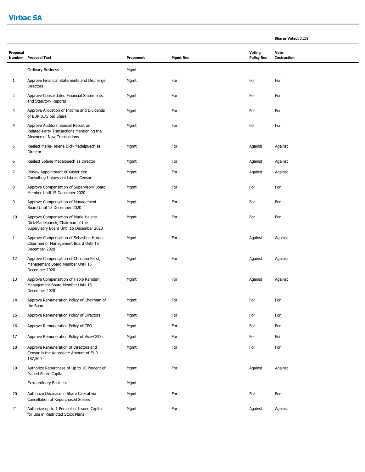#### **Virbac SA**

18

19

20

21

Censor in the Aggregate Amount of EUR

Cancellation of Repurchased Shares

for Use in Restricted Stock Plans

Extraordinary Business **Mgmt** 

187,500

Issued Share Capital

| Proposal       | Number Proposal Text                                                                                                 | Proponent | <b>Mgmt Rec</b> | Voting<br><b>Policy Rec</b> | Vote<br><b>Instruction</b> |
|----------------|----------------------------------------------------------------------------------------------------------------------|-----------|-----------------|-----------------------------|----------------------------|
|                | <b>Ordinary Business</b>                                                                                             | Mgmt      |                 |                             |                            |
| 1              | Approve Financial Statements and Discharge<br><b>Directors</b>                                                       | Mgmt      | For             | For                         | For                        |
| $\overline{2}$ | Approve Consolidated Financial Statements<br>and Statutory Reports                                                   | Mgmt      | For             | For                         | For                        |
| 3              | Approve Allocation of Income and Dividends<br>of EUR 0.75 per Share                                                  | Mgmt      | For             | For                         | For                        |
| 4              | Approve Auditors' Special Report on<br>Related-Party Transactions Mentioning the<br>Absence of New Transactions      | Mgmt      | For             | For                         | For                        |
| 5              | Reelect Marie-Helene Dick-Madelpuech as<br>Director                                                                  | Mgmt      | For             | Against                     | Against                    |
| 6              | Reelect Solene Madelpuech as Director                                                                                | Mgmt      | For             | Against                     | Against                    |
| 7              | Renew Appointment of Xavier Yon<br>Consulting Unipessoal Lda as Censor                                               | Mgmt      | For             | Against                     | Against                    |
| 8              | Approve Compensation of Supervisory Board<br>Member Until 15 December 2020                                           | Mgmt      | For             | For                         | For                        |
| 9              | Approve Compensation of Management<br>Board Until 15 December 2020                                                   | Mgmt      | For             | For                         | For                        |
| 10             | Approve Compensation of Marie-Helene<br>Dick-Madelpuech, Chairman of the<br>Supervisory Board Until 15 December 2020 | Mgmt      | For             | For                         | For                        |
| 11             | Approve Compensation of Sebastien Huron,<br>Chairman of Management Board Until 15<br>December 2020                   | Mgmt      | For             | Against                     | Against                    |
| 12             | Approve Compensation of Christian Karst,<br>Management Board Member Until 15<br>December 2020                        | Mgmt      | For             | Against                     | Against                    |
| 13             | Approve Compensation of Habib Ramdani,<br>Management Board Member Until 15<br>December 2020                          | Mgmt      | For             | Against                     | Against                    |
| 14             | Approve Remuneration Policy of Chairman of<br>the Board                                                              | Mgmt      | For             | For                         | For                        |
| 15             | Approve Remuneration Policy of Directors                                                                             | Mgmt      | For             | For                         | For                        |
| 16             | Approve Remuneration Policy of CEO                                                                                   | Mgmt      | For             | For                         | For                        |
| 17             | Approve Remuneration Policy of Vice-CEOs                                                                             | Mamt      | For             | For                         | For                        |

Approve Remuneration of Directors and Mgmt For For For

Authorize Repurchase of Up to 10 Percent of Mgmt For For Against Against Against Against Against

Authorize Decrease in Share Capital via Mgmt For For For

Authorize up to 1 Percent of Issued Capital Mgmt Mgmt For For Against Against Against Against Against

**Shares Voted:** 3,209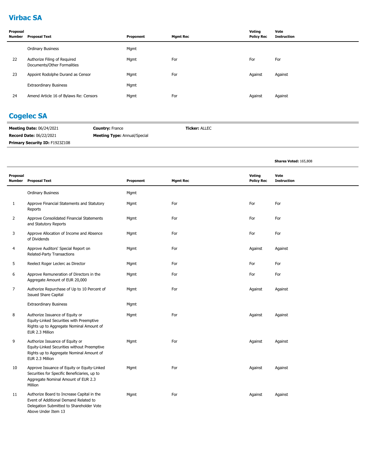# **Virbac SA**

| Proposal<br>Number | <b>Proposal Text</b>                                        | Proponent | <b>Mgmt Rec</b> | Voting<br><b>Policy Rec</b> | Vote<br><b>Instruction</b> |
|--------------------|-------------------------------------------------------------|-----------|-----------------|-----------------------------|----------------------------|
|                    | <b>Ordinary Business</b>                                    | Mgmt      |                 |                             |                            |
| 22                 | Authorize Filing of Required<br>Documents/Other Formalities | Mgmt      | For             | For                         | For                        |
| 23                 | Appoint Rodolphe Durand as Censor                           | Mgmt      | For             | Against                     | Against                    |
|                    | <b>Extraordinary Business</b>                               | Mgmt      |                 |                             |                            |
| 24                 | Amend Article 16 of Bylaws Re: Censors                      | Mgmt      | For             | Against                     | Against                    |

### **Cogelec SA**

| <b>Meeting Date: 06/24/2021</b> | <b>Country: France</b>              | <b>Ticker: ALLEC</b> |
|---------------------------------|-------------------------------------|----------------------|
| <b>Record Date: 06/22/2021</b>  | <b>Meeting Type:</b> Annual/Special |                      |
| Primary Security ID: F1923Z108  |                                     |                      |

**Shares Voted:** 165,808

| Proposal | Number Proposal Text                                                                                                                                   | Proponent | <b>Mgmt Rec</b> | Voting<br><b>Policy Rec</b> | Vote<br><b>Instruction</b> |
|----------|--------------------------------------------------------------------------------------------------------------------------------------------------------|-----------|-----------------|-----------------------------|----------------------------|
|          | <b>Ordinary Business</b>                                                                                                                               | Mgmt      |                 |                             |                            |
| 1        | Approve Financial Statements and Statutory<br>Reports                                                                                                  | Mgmt      | For             | For                         | For                        |
| 2        | Approve Consolidated Financial Statements<br>and Statutory Reports                                                                                     | Mgmt      | For             | For                         | For                        |
| 3        | Approve Allocation of Income and Absence<br>of Dividends                                                                                               | Mgmt      | For             | For                         | For                        |
| 4        | Approve Auditors' Special Report on<br>Related-Party Transactions                                                                                      | Mgmt      | For             | Against                     | Against                    |
| 5        | Reelect Roger Leclerc as Director                                                                                                                      | Mgmt      | For             | For                         | For                        |
| 6        | Approve Remuneration of Directors in the<br>Aggregate Amount of EUR 20,000                                                                             | Mgmt      | For             | For                         | For                        |
| 7        | Authorize Repurchase of Up to 10 Percent of<br><b>Issued Share Capital</b>                                                                             | Mgmt      | For             | Against                     | Against                    |
|          | <b>Extraordinary Business</b>                                                                                                                          | Mgmt      |                 |                             |                            |
| 8        | Authorize Issuance of Equity or<br>Equity-Linked Securities with Preemptive<br>Rights up to Aggregate Nominal Amount of<br>EUR 2.3 Million             | Mgmt      | For             | Against                     | Against                    |
| 9        | Authorize Issuance of Equity or<br>Equity-Linked Securities without Preemptive<br>Rights up to Aggregate Nominal Amount of<br>EUR 2.3 Million          | Mgmt      | For             | Against                     | Against                    |
| 10       | Approve Issuance of Equity or Equity-Linked<br>Securities for Specific Beneficiaries, up to<br>Aggregate Nominal Amount of EUR 2.3<br>Million          | Mgmt      | For             | Against                     | Against                    |
| 11       | Authorize Board to Increase Capital in the<br>Event of Additional Demand Related to<br>Delegation Submitted to Shareholder Vote<br>Above Under Item 13 | Mgmt      | For             | Against                     | Against                    |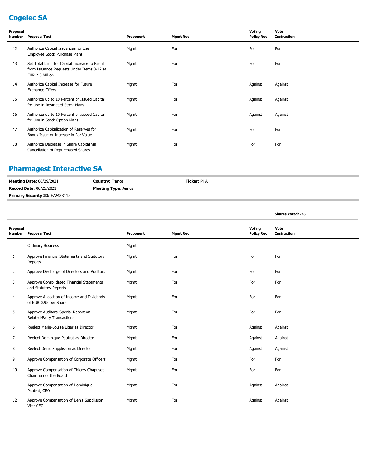# **Cogelec SA**

| Proposal<br><b>Number</b> | <b>Proposal Text</b>                                                                                            | Proponent | <b>Mgmt Rec</b> | Voting<br><b>Policy Rec</b> | Vote<br><b>Instruction</b> |
|---------------------------|-----------------------------------------------------------------------------------------------------------------|-----------|-----------------|-----------------------------|----------------------------|
| 12                        | Authorize Capital Issuances for Use in<br>Employee Stock Purchase Plans                                         | Mgmt      | For             | For                         | For                        |
| 13                        | Set Total Limit for Capital Increase to Result<br>from Issuance Requests Under Items 8-12 at<br>EUR 2.3 Million | Mgmt      | For             | For                         | For                        |
| 14                        | Authorize Capital Increase for Future<br>Exchange Offers                                                        | Mgmt      | For             | Against                     | Against                    |
| 15                        | Authorize up to 10 Percent of Issued Capital<br>for Use in Restricted Stock Plans                               | Mgmt      | For             | Against                     | Against                    |
| 16                        | Authorize up to 10 Percent of Issued Capital<br>for Use in Stock Option Plans                                   | Mgmt      | For             | Against                     | Against                    |
| 17                        | Authorize Capitalization of Reserves for<br>Bonus Issue or Increase in Par Value                                | Mgmt      | For             | For                         | For                        |
| 18                        | Authorize Decrease in Share Capital via<br>Cancellation of Repurchased Shares                                   | Mgmt      | For             | For                         | For                        |

# **Pharmagest Interactive SA**

| <b>Meeting Date: 06/29/2021</b>       | <b>Country: France</b>      | <b>Ticker:</b> PHA |  |
|---------------------------------------|-----------------------------|--------------------|--|
| <b>Record Date: 06/25/2021</b>        | <b>Meeting Type: Annual</b> |                    |  |
| <b>Primary Security ID: F7242R115</b> |                             |                    |  |

|                    |                                                                     |           |                 |                             | <b>Shares Voted: 745</b>   |  |
|--------------------|---------------------------------------------------------------------|-----------|-----------------|-----------------------------|----------------------------|--|
| Proposal<br>Number | <b>Proposal Text</b>                                                | Proponent | <b>Mgmt Rec</b> | Voting<br><b>Policy Rec</b> | Vote<br><b>Instruction</b> |  |
|                    | <b>Ordinary Business</b>                                            | Mgmt      |                 |                             |                            |  |
| 1                  | Approve Financial Statements and Statutory<br>Reports               | Mgmt      | For             | For                         | For                        |  |
| 2                  | Approve Discharge of Directors and Auditors                         | Mgmt      | For             | For                         | For                        |  |
| 3                  | Approve Consolidated Financial Statements<br>and Statutory Reports  | Mgmt      | For             | For                         | For                        |  |
| 4                  | Approve Allocation of Income and Dividends<br>of EUR 0.95 per Share | Mgmt      | For             | For                         | For                        |  |
| 5                  | Approve Auditors' Special Report on<br>Related-Party Transactions   | Mgmt      | For             | For                         | For                        |  |
| 6                  | Reelect Marie-Louise Liger as Director                              | Mgmt      | For             | Against                     | Against                    |  |
| 7                  | Reelect Dominique Pautrat as Director                               | Mgmt      | For             | Against                     | Against                    |  |
| 8                  | Reelect Denis Supplisson as Director                                | Mgmt      | For             | Against                     | Against                    |  |
| 9                  | Approve Compensation of Corporate Officers                          | Mgmt      | For             | For                         | For                        |  |
| 10                 | Approve Compensation of Thierry Chapusot,<br>Chairman of the Board  | Mgmt      | For             | For                         | For                        |  |
| 11                 | Approve Compensation of Dominique<br>Pautrat, CEO                   | Mgmt      | For             | Against                     | Against                    |  |
| 12                 | Approve Compensation of Denis Supplisson,<br>Vice-CEO               | Mgmt      | For             | Against                     | Against                    |  |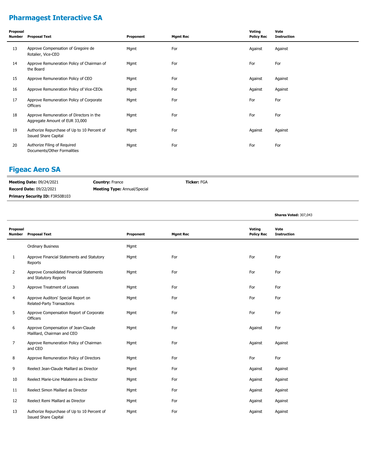# **Pharmagest Interactive SA**

| Proposal<br>Number | <b>Proposal Text</b>                                                       | Proponent | <b>Mgmt Rec</b> | Voting<br><b>Policy Rec</b> | Vote<br><b>Instruction</b> |
|--------------------|----------------------------------------------------------------------------|-----------|-----------------|-----------------------------|----------------------------|
| 13                 | Approve Compensation of Gregoire de<br>Rotalier, Vice-CEO                  | Mgmt      | For             | Against                     | Against                    |
| 14                 | Approve Remuneration Policy of Chairman of<br>the Board                    | Mgmt      | For             | For                         | For                        |
| 15                 | Approve Remuneration Policy of CEO                                         | Mgmt      | For             | Against                     | Against                    |
| 16                 | Approve Remuneration Policy of Vice-CEOs                                   | Mgmt      | For             | Against                     | Against                    |
| 17                 | Approve Remuneration Policy of Corporate<br><b>Officers</b>                | Mgmt      | For             | For                         | For                        |
| 18                 | Approve Remuneration of Directors in the<br>Aggregate Amount of EUR 33,000 | Mgmt      | For             | For                         | For                        |
| 19                 | Authorize Repurchase of Up to 10 Percent of<br><b>Issued Share Capital</b> | Mgmt      | For             | Against                     | Against                    |
| 20                 | Authorize Filing of Required<br>Documents/Other Formalities                | Mgmt      | For             | For                         | For                        |

#### **Figeac Aero SA**

**Meeting Date:** 09/24/2021 **Record Date:** 09/22/2021 **Country:** France **Meeting Type:** Annual/Special **Ticker:** FGA **Primary Security ID: F3R50B103** 

**Shares Voted:** 307,043

| Proposal<br><b>Number</b> | <b>Proposal Text</b>                                                       | Proponent | <b>Mgmt Rec</b> | <b>Voting</b><br><b>Policy Rec</b> | Vote<br><b>Instruction</b> |
|---------------------------|----------------------------------------------------------------------------|-----------|-----------------|------------------------------------|----------------------------|
|                           | <b>Ordinary Business</b>                                                   | Mgmt      |                 |                                    |                            |
| 1                         | Approve Financial Statements and Statutory<br>Reports                      | Mgmt      | For             | For                                | For                        |
| 2                         | Approve Consolidated Financial Statements<br>and Statutory Reports         | Mgmt      | For             | For                                | For                        |
| 3                         | Approve Treatment of Losses                                                | Mgmt      | For             | For                                | For                        |
| 4                         | Approve Auditors' Special Report on<br>Related-Party Transactions          | Mgmt      | For             | For                                | For                        |
| 5                         | Approve Compensation Report of Corporate<br>Officers                       | Mgmt      | For             | For                                | For                        |
| 6                         | Approve Compensation of Jean-Claude<br>Mailllard, Chairman and CEO         | Mgmt      | For             | Against                            | For                        |
| 7                         | Approve Remuneration Policy of Chairman<br>and CEO                         | Mgmt      | For             | Against                            | Against                    |
| 8                         | Approve Remuneration Policy of Directors                                   | Mgmt      | For             | For                                | For                        |
| 9                         | Reelect Jean-Claude Maillard as Director                                   | Mgmt      | For             | Against                            | Against                    |
| 10                        | Reelect Marie-Line Malaterre as Director                                   | Mgmt      | For             | Against                            | Against                    |
| 11                        | Reelect Simon Maillard as Director                                         | Mgmt      | For             | Against                            | Against                    |
| 12                        | Reelect Remi Maillard as Director                                          | Mgmt      | For             | Against                            | Against                    |
| 13                        | Authorize Repurchase of Up to 10 Percent of<br><b>Issued Share Capital</b> | Mgmt      | For             | Against                            | Against                    |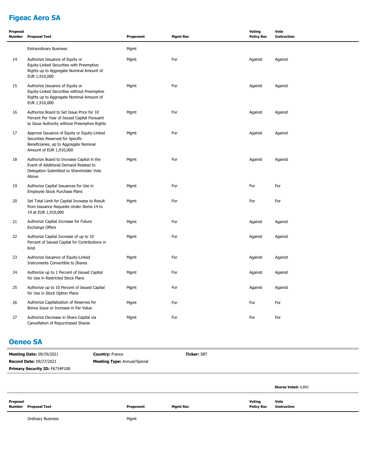# **Figeac Aero SA**

| Proposal<br><b>Number</b> | <b>Proposal Text</b>                                                                                                                                 | Proponent | <b>Mgmt Rec</b> | <b>Voting</b><br><b>Policy Rec</b> | Vote<br><b>Instruction</b> |
|---------------------------|------------------------------------------------------------------------------------------------------------------------------------------------------|-----------|-----------------|------------------------------------|----------------------------|
|                           | <b>Extraordinary Business</b>                                                                                                                        | Mgmt      |                 |                                    |                            |
| 14                        | Authorize Issuance of Equity or<br>Equity-Linked Securities with Preemptive<br>Rights up to Aggregate Nominal Amount of<br>EUR 1,910,000             | Mgmt      | For             | Against                            | Against                    |
| 15                        | Authorize Issuance of Equity or<br>Equity-Linked Securities without Preemptive<br>Rights up to Aggregate Nominal Amount of<br>EUR 1,910,000          | Mgmt      | For             | Against                            | Against                    |
| 16                        | Authorize Board to Set Issue Price for 10<br>Percent Per Year of Issued Capital Pursuant<br>to Issue Authority without Preemptive Rights             | Mgmt      | For             | Against                            | Against                    |
| 17                        | Approve Issuance of Equity or Equity-Linked<br>Securities Reserved for Specific<br>Beneficiaries, up to Aggregate Nominal<br>Amount of EUR 1,910,000 | Mgmt      | For             | Against                            | Against                    |
| 18                        | Authorize Board to Increase Capital in the<br>Event of Additional Demand Related to<br>Delegation Submitted to Shareholder Vote<br>Above             | Mgmt      | For             | Against                            | Against                    |
| 19                        | Authorize Capital Issuances for Use in<br>Employee Stock Purchase Plans                                                                              | Mgmt      | For             | For                                | For                        |
| 20                        | Set Total Limit for Capital Increase to Result<br>from Issuance Requests Under Items 14 to<br>19 at EUR 1,910,000                                    | Mgmt      | For             | For                                | For                        |
| 21                        | Authorize Capital Increase for Future<br>Exchange Offers                                                                                             | Mgmt      | For             | Against                            | Against                    |
| 22                        | Authorize Capital Increase of up to 10<br>Percent of Issued Capital for Contributions in<br>Kind                                                     | Mgmt      | For             | Against                            | Against                    |
| 23                        | Authorize Issuance of Equity-Linked<br>Instruments Convertible to Shares                                                                             | Mgmt      | For             | Against                            | Against                    |
| 24                        | Authorize up to 1 Percent of Issued Capital<br>for Use in Restricted Stock Plans                                                                     | Mgmt      | For             | Against                            | Against                    |
| 25                        | Authorize up to 10 Percent of Issued Capital<br>for Use in Stock Option Plans                                                                        | Mgmt      | For             | Against                            | Against                    |
| 26                        | Authorize Capitalization of Reserves for<br>Bonus Issue or Increase in Par Value                                                                     | Mgmt      | For             | For                                | For                        |
| 27                        | Authorize Decrease in Share Capital via<br>Cancellation of Repurchased Shares                                                                        | Mgmt      | For             | For                                | For                        |

#### **Oeneo SA**

| <b>Meeting Date: 09/29/2021</b>       | <b>Country: France</b>              | <b>Ticker: SBT</b> |  |  |
|---------------------------------------|-------------------------------------|--------------------|--|--|
| <b>Record Date: 09/27/2021</b>        | <b>Meeting Type: Annual/Special</b> |                    |  |  |
| <b>Primary Security ID: F6734P108</b> |                                     |                    |  |  |
|                                       |                                     |                    |  |  |

**Shares Voted:** 4,893 **Proposal Number Proposal Text Proponent Mgmt Rec Voting Policy Rec Vote Instruction**

Ordinary Business **Mgmt**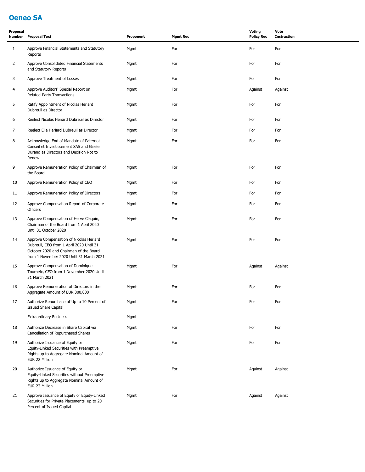# **Oeneo SA**

| Proposal<br><b>Number</b> | <b>Proposal Text</b>                                                                                                                                                      | Proponent | <b>Mgmt Rec</b> | <b>Voting</b><br><b>Policy Rec</b> | Vote<br><b>Instruction</b> |
|---------------------------|---------------------------------------------------------------------------------------------------------------------------------------------------------------------------|-----------|-----------------|------------------------------------|----------------------------|
| $\mathbf{1}$              | Approve Financial Statements and Statutory<br>Reports                                                                                                                     | Mgmt      | For             | For                                | For                        |
| $\overline{2}$            | Approve Consolidated Financial Statements<br>and Statutory Reports                                                                                                        | Mgmt      | For             | For                                | For                        |
| 3                         | Approve Treatment of Losses                                                                                                                                               | Mgmt      | For             | For                                | For                        |
| 4                         | Approve Auditors' Special Report on<br>Related-Party Transactions                                                                                                         | Mgmt      | For             | Against                            | Against                    |
| 5                         | Ratify Appointment of Nicolas Heriard<br>Dubreuil as Director                                                                                                             | Mgmt      | For             | For                                | For                        |
| 6                         | Reelect Nicolas Heriard Dubreuil as Director                                                                                                                              | Mgmt      | For             | For                                | For                        |
| 7                         | Reelect Elie Heriard Dubreuil as Director                                                                                                                                 | Mgmt      | For             | For                                | For                        |
| 8                         | Acknowledge End of Mandate of Paternot<br>Conseil et Investissement SAS and Gisele<br>Durand as Directors and Decision Not to<br>Renew                                    | Mgmt      | For             | For                                | For                        |
| 9                         | Approve Remuneration Policy of Chairman of<br>the Board                                                                                                                   | Mgmt      | For             | For                                | For                        |
| 10                        | Approve Remuneration Policy of CEO                                                                                                                                        | Mgmt      | For             | For                                | For                        |
| 11                        | Approve Remuneration Policy of Directors                                                                                                                                  | Mgmt      | For             | For                                | For                        |
| 12                        | Approve Compensation Report of Corporate<br>Officers                                                                                                                      | Mgmt      | For             | For                                | For                        |
| 13                        | Approve Compensation of Herve Claquin,<br>Chairman of the Board from 1 April 2020<br>Until 31 October 2020                                                                | Mgmt      | For             | For                                | For                        |
| 14                        | Approve Compensation of Nicolas Heriard<br>Dubreuil, CEO from 1 April 2020 Until 31<br>October 2020 and Chairman of the Board<br>from 1 November 2020 Until 31 March 2021 | Mgmt      | For             | For                                | For                        |
| 15                        | Approve Compensation of Dominique<br>Tourneix, CEO from 1 November 2020 Until<br>31 March 2021                                                                            | Mgmt      | For             | Against                            | Against                    |
| 16                        | Approve Remuneration of Directors in the<br>Aggregate Amount of EUR 300,000                                                                                               | Mgmt      | For             | For                                | For                        |
| 17                        | Authorize Repurchase of Up to 10 Percent of<br><b>Issued Share Capital</b>                                                                                                | Mgmt      | For             | For                                | For                        |
|                           | <b>Extraordinary Business</b>                                                                                                                                             | Mgmt      |                 |                                    |                            |
| 18                        | Authorize Decrease in Share Capital via<br>Cancellation of Repurchased Shares                                                                                             | Mgmt      | For             | For                                | For                        |
| 19                        | Authorize Issuance of Equity or<br>Equity-Linked Securities with Preemptive<br>Rights up to Aggregate Nominal Amount of<br>EUR 22 Million                                 | Mgmt      | For             | For                                | For                        |
| 20                        | Authorize Issuance of Equity or<br>Equity-Linked Securities without Preemptive<br>Rights up to Aggregate Nominal Amount of<br>EUR 22 Million                              | Mgmt      | For             | Against                            | Against                    |
| 21                        | Approve Issuance of Equity or Equity-Linked<br>Securities for Private Placements, up to 20<br>Percent of Issued Capital                                                   | Mgmt      | For             | Against                            | Against                    |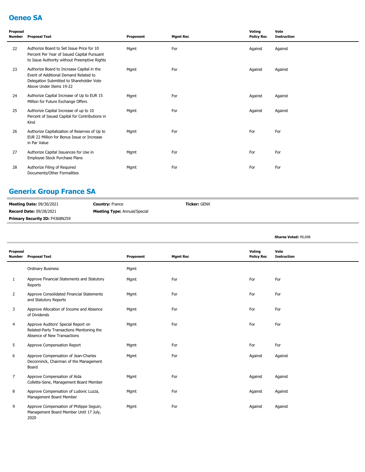### **Oeneo SA**

| Proposal<br><b>Number</b> | <b>Proposal Text</b>                                                                                                                                       | Proponent | <b>Mgmt Rec</b> | Voting<br><b>Policy Rec</b> | Vote<br><b>Instruction</b> |
|---------------------------|------------------------------------------------------------------------------------------------------------------------------------------------------------|-----------|-----------------|-----------------------------|----------------------------|
| 22                        | Authorize Board to Set Issue Price for 10<br>Percent Per Year of Issued Capital Pursuant<br>to Issue Authority without Preemptive Rights                   | Mgmt      | For             | Against                     | Against                    |
| 23                        | Authorize Board to Increase Capital in the<br>Event of Additional Demand Related to<br>Delegation Submitted to Shareholder Vote<br>Above Under Items 19-22 | Mgmt      | For             | Against                     | Against                    |
| 24                        | Authorize Capital Increase of Up to EUR 15<br>Million for Future Exchange Offers                                                                           | Mgmt      | For             | Against                     | Against                    |
| 25                        | Authorize Capital Increase of up to 10<br>Percent of Issued Capital for Contributions in<br>Kind                                                           | Mgmt      | For             | Against                     | Against                    |
| 26                        | Authorize Capitalization of Reserves of Up to<br>EUR 22 Million for Bonus Issue or Increase<br>in Par Value                                                | Mgmt      | For             | For                         | For                        |
| 27                        | Authorize Capital Issuances for Use in<br>Employee Stock Purchase Plans                                                                                    | Mgmt      | For             | For                         | For                        |
| 28                        | Authorize Filing of Required<br>Documents/Other Formalities                                                                                                | Mgmt      | For             | For                         | For                        |

### **Generix Group France SA**

| <b>Meeting Date: 09/30/2021</b>       | <b>Country: France</b>              | <b>Ticker:</b> GENX |
|---------------------------------------|-------------------------------------|---------------------|
| <b>Record Date: 09/28/2021</b>        | <b>Meeting Type:</b> Annual/Special |                     |
| <b>Primary Security ID: F4368N259</b> |                                     |                     |

|                           |                                                                                                                 |           |                 |                             | Shares Voted: 99,698       |
|---------------------------|-----------------------------------------------------------------------------------------------------------------|-----------|-----------------|-----------------------------|----------------------------|
| Proposal<br><b>Number</b> | <b>Proposal Text</b>                                                                                            | Proponent | <b>Mgmt Rec</b> | Voting<br><b>Policy Rec</b> | Vote<br><b>Instruction</b> |
|                           | <b>Ordinary Business</b>                                                                                        | Mgmt      |                 |                             |                            |
| 1                         | Approve Financial Statements and Statutory<br>Reports                                                           | Mgmt      | For             | For                         | For                        |
| 2                         | Approve Consolidated Financial Statements<br>and Statutory Reports                                              | Mgmt      | For             | For                         | For                        |
| 3                         | Approve Allocation of Income and Absence<br>of Dividends                                                        | Mgmt      | For             | For                         | For                        |
| 4                         | Approve Auditors' Special Report on<br>Related-Party Transactions Mentioning the<br>Absence of New Transactions | Mgmt      | For             | For                         | For                        |
| 5                         | Approve Compensation Report                                                                                     | Mgmt      | For             | For                         | For                        |
| 6                         | Approve Compensation of Jean-Charles<br>Deconninck, Chairman of the Management<br>Board                         | Mgmt      | For             | Against                     | Against                    |
| 7                         | Approve Compensation of Aida<br>Collette-Sene, Management Board Member                                          | Mgmt      | For             | Against                     | Against                    |
| 8                         | Approve Compensation of Ludovic Luzza,<br>Management Board Member                                               | Mgmt      | For             | Against                     | Against                    |
| 9                         | Approve Compensation of Philippe Seguin,<br>Management Board Member Until 17 July,<br>2020                      | Mgmt      | For             | Against                     | Against                    |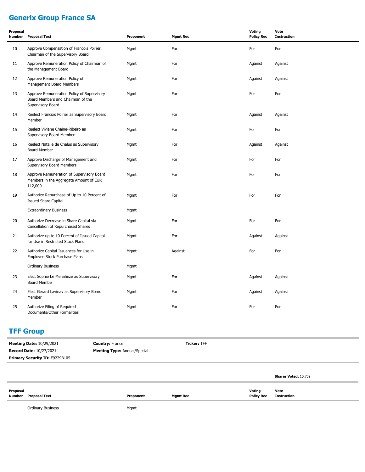# **Generix Group France SA**

| Proposal<br>Number | <b>Proposal Text</b>                                                                                 | Proponent | <b>Mgmt Rec</b> | <b>Voting</b><br><b>Policy Rec</b> | Vote<br><b>Instruction</b> |
|--------------------|------------------------------------------------------------------------------------------------------|-----------|-----------------|------------------------------------|----------------------------|
| 10                 | Approve Compensation of Francois Poirier,<br>Chairman of the Supervisory Board                       | Mgmt      | For             | For                                | For                        |
| 11                 | Approve Remuneration Policy of Chairman of<br>the Management Board                                   | Mgmt      | For             | Against                            | Against                    |
| 12                 | Approve Remuneration Policy of<br>Management Board Members                                           | Mgmt      | For             | Against                            | Against                    |
| 13                 | Approve Remuneration Policy of Supervisory<br>Board Members and Chairman of the<br>Supervisory Board | Mgmt      | For             | For                                | For                        |
| 14                 | Reelect Francois Poirier as Supervisory Board<br>Member                                              | Mgmt      | For             | Against                            | Against                    |
| 15                 | Reelect Viviane Chaine-Ribeiro as<br>Supervisory Board Member                                        | Mgmt      | For             | For                                | For                        |
| 16                 | Reelect Natalie de Chalus as Supervisory<br>Board Member                                             | Mgmt      | For             | Against                            | Against                    |
| 17                 | Approve Discharge of Management and<br>Supervisory Board Members                                     | Mgmt      | For             | For                                | For                        |
| 18                 | Approve Remuneration of Supervisory Board<br>Members in the Aggregate Amount of EUR<br>112,000       | Mgmt      | For             | For                                | For                        |
| 19                 | Authorize Repurchase of Up to 10 Percent of<br><b>Issued Share Capital</b>                           | Mgmt      | For             | For                                | For                        |
|                    | <b>Extraordinary Business</b>                                                                        | Mgmt      |                 |                                    |                            |
| 20                 | Authorize Decrease in Share Capital via<br>Cancellation of Repurchased Shares                        | Mgmt      | For             | For                                | For                        |
| 21                 | Authorize up to 10 Percent of Issued Capital<br>for Use in Restricted Stock Plans                    | Mgmt      | For             | Against                            | Against                    |
| 22                 | Authorize Capital Issuances for Use in<br>Employee Stock Purchase Plans                              | Mgmt      | Against         | For                                | For                        |
|                    | <b>Ordinary Business</b>                                                                             | Mgmt      |                 |                                    |                            |
| 23                 | Elect Sophie Le Menaheze as Supervisory<br>Board Member                                              | Mgmt      | For             | Against                            | Against                    |
| 24                 | Elect Gerard Lavinay as Supervisory Board<br>Member                                                  | Mgmt      | For             | Against                            | Against                    |
| 25                 | Authorize Filing of Required<br>Documents/Other Formalities                                          | Mgmt      | For             | For                                | For                        |

#### **TFF Group**

| <b>Meeting Date: 10/29/2021</b> | <b>Country: France</b>              | <b>Ticker: TFF</b> |        |                      |
|---------------------------------|-------------------------------------|--------------------|--------|----------------------|
| <b>Record Date: 10/27/2021</b>  | <b>Meeting Type: Annual/Special</b> |                    |        |                      |
| Primary Security ID: F9229B105  |                                     |                    |        |                      |
|                                 |                                     |                    |        |                      |
|                                 |                                     |                    |        | Shares Voted: 10,709 |
| Proposal                        |                                     |                    | Voting | Vote                 |

**Number Proposal Text Proponent Mgmt Rec Policy Rec Instruction**

Ordinary Business **Mgmt**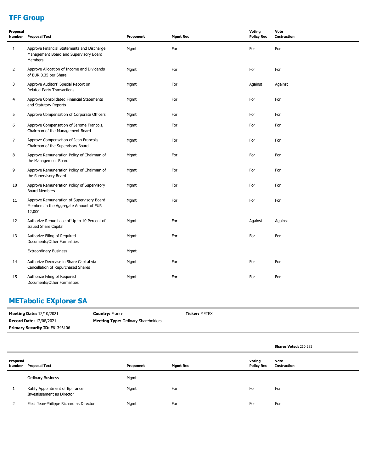# **TFF Group**

| Proposal<br>Number | <b>Proposal Text</b>                                                                            | Proponent | <b>Mgmt Rec</b> | Voting<br><b>Policy Rec</b> | Vote<br><b>Instruction</b> |
|--------------------|-------------------------------------------------------------------------------------------------|-----------|-----------------|-----------------------------|----------------------------|
| $\mathbf{1}$       | Approve Financial Statements and Discharge<br>Management Board and Supervisory Board<br>Members | Mgmt      | For             | For                         | For                        |
| $\overline{2}$     | Approve Allocation of Income and Dividends<br>of EUR 0.35 per Share                             | Mgmt      | For             | For                         | For                        |
| 3                  | Approve Auditors' Special Report on<br>Related-Party Transactions                               | Mgmt      | For             | Against                     | Against                    |
| 4                  | Approve Consolidated Financial Statements<br>and Statutory Reports                              | Mgmt      | For             | For                         | For                        |
| 5                  | Approve Compensation of Corporate Officers                                                      | Mgmt      | For             | For                         | For                        |
| 6                  | Approve Compensation of Jerome Francois,<br>Chairman of the Management Board                    | Mgmt      | For             | For                         | For                        |
| 7                  | Approve Compensation of Jean Francois,<br>Chairman of the Supervisory Board                     | Mgmt      | For             | For                         | For                        |
| 8                  | Approve Remuneration Policy of Chairman of<br>the Management Board                              | Mgmt      | For             | For                         | For                        |
| 9                  | Approve Remuneration Policy of Chairman of<br>the Supervisory Board                             | Mgmt      | For             | For                         | For                        |
| 10                 | Approve Remuneration Policy of Supervisory<br><b>Board Members</b>                              | Mgmt      | For             | For                         | For                        |
| 11                 | Approve Remuneration of Supervisory Board<br>Members in the Aggregate Amount of EUR<br>12,000   | Mgmt      | For             | For                         | For                        |
| 12                 | Authorize Repurchase of Up to 10 Percent of<br><b>Issued Share Capital</b>                      | Mgmt      | For             | Against                     | Against                    |
| 13                 | Authorize Filing of Required<br>Documents/Other Formalities                                     | Mgmt      | For             | For                         | For                        |
|                    | <b>Extraordinary Business</b>                                                                   | Mgmt      |                 |                             |                            |
| 14                 | Authorize Decrease in Share Capital via<br>Cancellation of Repurchased Shares                   | Mgmt      | For             | For                         | For                        |
| 15                 | Authorize Filing of Required<br>Documents/Other Formalities                                     | Mgmt      | For             | For                         | For                        |

# **METabolic EXplorer SA**

| <b>Meeting Date: 12/10/2021</b>       | <b>Country: France</b>                     | <b>Ticker: METEX</b> |
|---------------------------------------|--------------------------------------------|----------------------|
| <b>Record Date: 12/08/2021</b>        | <b>Meeting Type:</b> Ordinary Shareholders |                      |
| <b>Primary Security ID: F61346106</b> |                                            |                      |

|                    |                                                               |           |                 |                             | Shares Voted: 210,285 |
|--------------------|---------------------------------------------------------------|-----------|-----------------|-----------------------------|-----------------------|
| Proposal<br>Number | <b>Proposal Text</b>                                          | Proponent | <b>Mgmt Rec</b> | Voting<br><b>Policy Rec</b> | Vote<br>Instruction   |
|                    | <b>Ordinary Business</b>                                      | Mgmt      |                 |                             |                       |
|                    | Ratify Appointment of Bpifrance<br>Investissement as Director | Mgmt      | For             | For                         | For                   |
|                    | Elect Jean-Philippe Richard as Director                       | Mgmt      | For             | For                         | For                   |